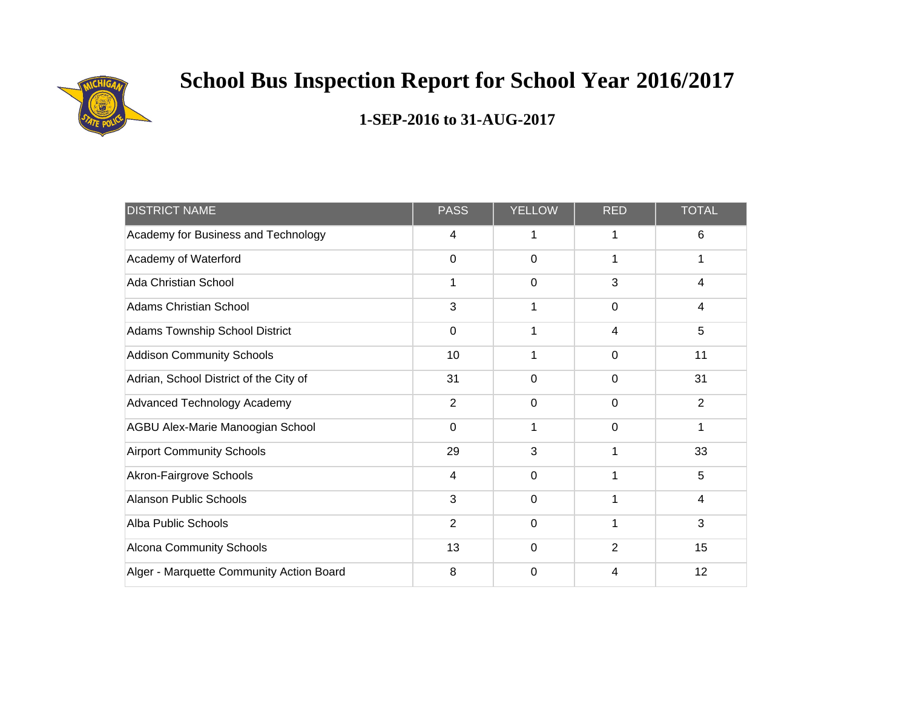

| <b>DISTRICT NAME</b>                     | <b>PASS</b>    | <b>YELLOW</b> | <b>RED</b>  | <b>TOTAL</b>   |
|------------------------------------------|----------------|---------------|-------------|----------------|
| Academy for Business and Technology      | 4              | 1             | 1           | 6              |
| Academy of Waterford                     | $\Omega$       | $\mathbf 0$   | 1           | 1              |
| <b>Ada Christian School</b>              | 1              | $\mathbf 0$   | 3           | 4              |
| <b>Adams Christian School</b>            | 3              | 1             | $\mathbf 0$ | 4              |
| Adams Township School District           | 0              | 1             | 4           | 5              |
| <b>Addison Community Schools</b>         | 10             | 1             | 0           | 11             |
| Adrian, School District of the City of   | 31             | $\mathbf 0$   | 0           | 31             |
| Advanced Technology Academy              | $\overline{2}$ | $\mathbf 0$   | 0           | $\overline{2}$ |
| AGBU Alex-Marie Manoogian School         | $\overline{0}$ | 1             | $\mathbf 0$ | 1              |
| <b>Airport Community Schools</b>         | 29             | 3             | 1           | 33             |
| Akron-Fairgrove Schools                  | $\overline{4}$ | $\mathbf 0$   | 1           | 5              |
| <b>Alanson Public Schools</b>            | 3              | $\mathbf 0$   | 1           | 4              |
| Alba Public Schools                      | $\overline{2}$ | $\mathbf 0$   | 1           | 3              |
| <b>Alcona Community Schools</b>          | 13             | $\Omega$      | 2           | 15             |
| Alger - Marquette Community Action Board | 8              | $\mathbf 0$   | 4           | 12             |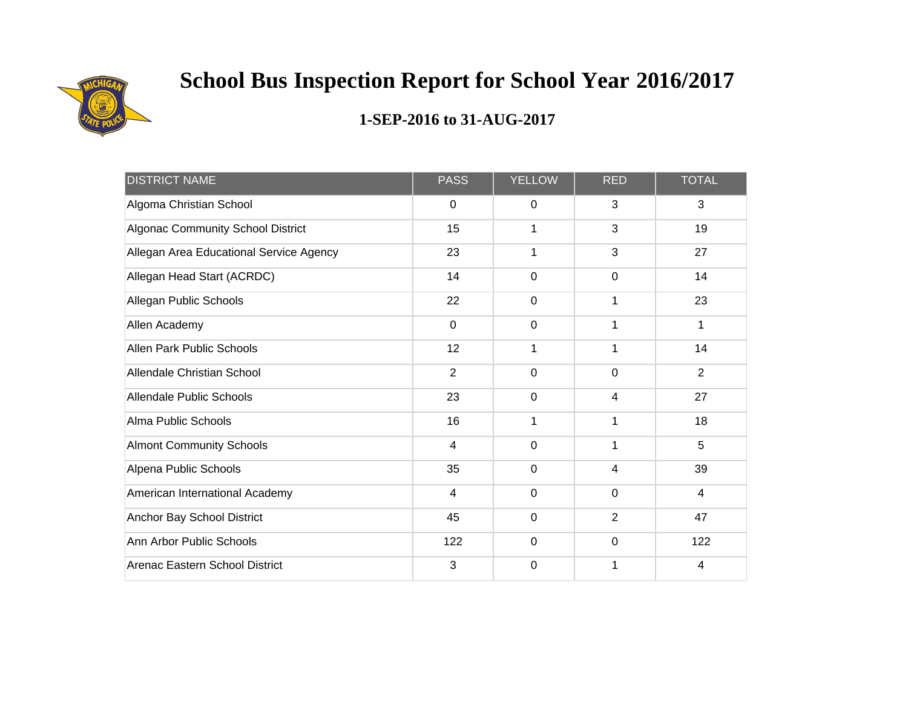

| <b>DISTRICT NAME</b>                     | <b>PASS</b>    | <b>YELLOW</b> | <b>RED</b>     | <b>TOTAL</b> |
|------------------------------------------|----------------|---------------|----------------|--------------|
| Algoma Christian School                  | 0              | 0             | 3              | 3            |
| <b>Algonac Community School District</b> | 15             | 1             | 3              | 19           |
| Allegan Area Educational Service Agency  | 23             | 1             | 3              | 27           |
| Allegan Head Start (ACRDC)               | 14             | 0             | $\overline{0}$ | 14           |
| Allegan Public Schools                   | 22             | $\mathbf 0$   |                | 23           |
| Allen Academy                            | $\overline{0}$ | $\mathbf 0$   | 1              | $\mathbf 1$  |
| Allen Park Public Schools                | 12             | 1             |                | 14           |
| Allendale Christian School               | 2              | $\mathbf 0$   | $\mathbf 0$    | 2            |
| <b>Allendale Public Schools</b>          | 23             | $\mathbf 0$   | 4              | 27           |
| Alma Public Schools                      | 16             | 1             | 1              | 18           |
| <b>Almont Community Schools</b>          | $\overline{4}$ | $\mathbf 0$   | 1              | 5            |
| Alpena Public Schools                    | 35             | $\mathbf 0$   | 4              | 39           |
| American International Academy           | $\overline{4}$ | $\mathbf 0$   | $\mathbf 0$    | 4            |
| Anchor Bay School District               | 45             | $\mathbf 0$   | $\overline{2}$ | 47           |
| Ann Arbor Public Schools                 | 122            | $\Omega$      | $\Omega$       | 122          |
| Arenac Eastern School District           | 3              | 0             |                | 4            |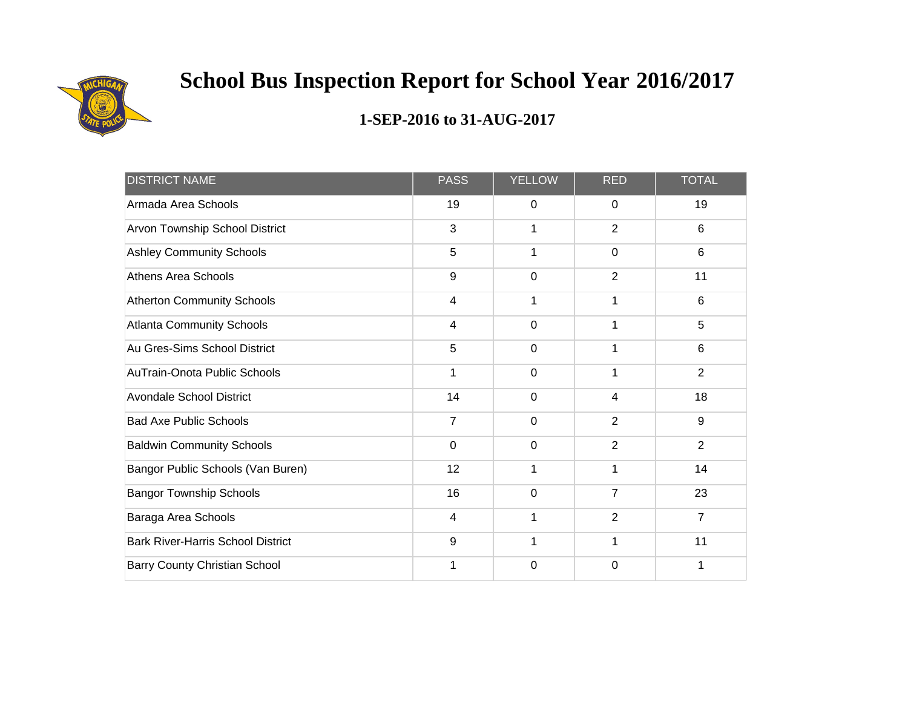

| <b>DISTRICT NAME</b>                     | <b>PASS</b>    | <b>YELLOW</b>  | <b>RED</b>               | <b>TOTAL</b>   |
|------------------------------------------|----------------|----------------|--------------------------|----------------|
| Armada Area Schools                      | 19             | 0              | 0                        | 19             |
| Arvon Township School District           | 3              | 1              | $\overline{2}$           | 6              |
| <b>Ashley Community Schools</b>          | 5              | 1              | $\mathbf 0$              | 6              |
| <b>Athens Area Schools</b>               | 9              | $\mathbf 0$    | $\overline{2}$           | 11             |
| <b>Atherton Community Schools</b>        | $\overline{4}$ | 1              | 1                        | 6              |
| <b>Atlanta Community Schools</b>         | $\overline{4}$ | $\mathbf 0$    | 1                        | 5              |
| Au Gres-Sims School District             | 5              | $\mathbf 0$    | 1                        | 6              |
| AuTrain-Onota Public Schools             | 1              | $\mathbf 0$    | 1                        | $\overline{2}$ |
| <b>Avondale School District</b>          | 14             | $\mathbf 0$    | $\overline{\mathcal{A}}$ | 18             |
| <b>Bad Axe Public Schools</b>            | $\overline{7}$ | $\Omega$       | 2                        | 9              |
| <b>Baldwin Community Schools</b>         | $\overline{0}$ | $\overline{0}$ | $\overline{2}$           | $\overline{2}$ |
| Bangor Public Schools (Van Buren)        | 12             | 1              | 1                        | 14             |
| <b>Bangor Township Schools</b>           | 16             | $\mathbf 0$    | $\overline{7}$           | 23             |
| Baraga Area Schools                      | $\overline{4}$ | 1              | $\overline{2}$           | 7              |
| <b>Bark River-Harris School District</b> | 9              | 1              | 1                        | 11             |
| Barry County Christian School            | 1              | $\mathbf 0$    | $\Omega$                 | 1              |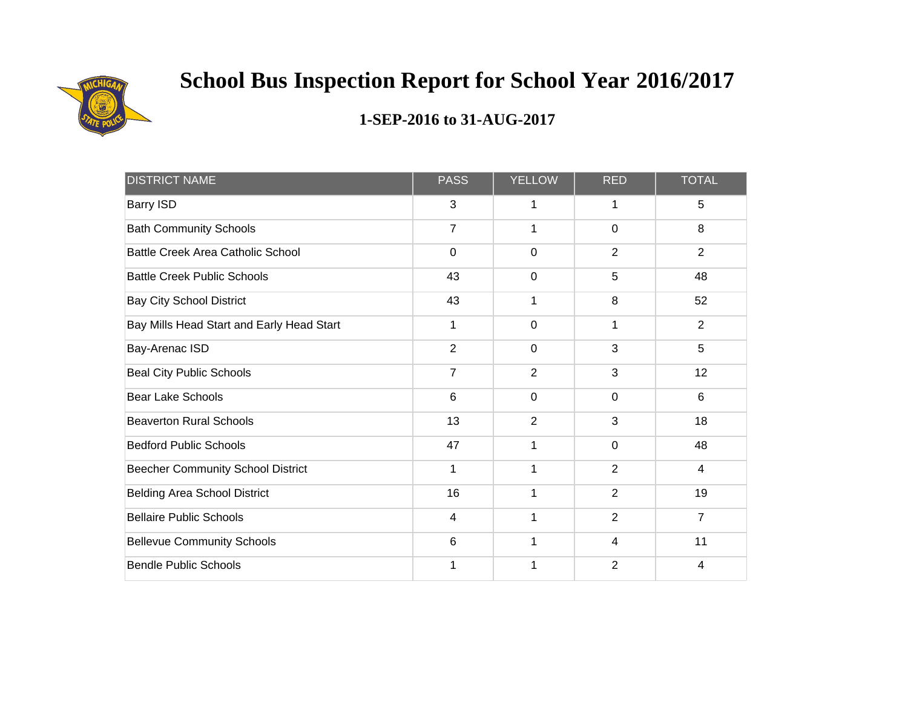

| <b>DISTRICT NAME</b>                      | <b>PASS</b>             | <b>YELLOW</b>  | <b>RED</b>     | <b>TOTAL</b>   |
|-------------------------------------------|-------------------------|----------------|----------------|----------------|
| Barry ISD                                 | 3                       | 1              | 1              | 5              |
| <b>Bath Community Schools</b>             | $\overline{7}$          | 1              | $\mathbf 0$    | 8              |
| <b>Battle Creek Area Catholic School</b>  | $\mathbf 0$             | $\mathbf 0$    | 2              | $\overline{2}$ |
| <b>Battle Creek Public Schools</b>        | 43                      | $\overline{0}$ | 5              | 48             |
| <b>Bay City School District</b>           | 43                      | 1              | 8              | 52             |
| Bay Mills Head Start and Early Head Start | 1                       | $\mathbf 0$    | 1              | $\overline{2}$ |
| Bay-Arenac ISD                            | $\overline{2}$          | $\mathbf 0$    | 3              | 5              |
| <b>Beal City Public Schools</b>           | $\overline{7}$          | 2              | 3              | 12             |
| <b>Bear Lake Schools</b>                  | 6                       | $\overline{0}$ | $\Omega$       | $6\phantom{1}$ |
| <b>Beaverton Rural Schools</b>            | 13                      | $\overline{2}$ | 3              | 18             |
| <b>Bedford Public Schools</b>             | 47                      | 1              | $\mathbf 0$    | 48             |
| <b>Beecher Community School District</b>  | 1                       | 1              | $\overline{2}$ | $\overline{4}$ |
| <b>Belding Area School District</b>       | 16                      | 1              | 2              | 19             |
| <b>Bellaire Public Schools</b>            | $\overline{\mathbf{4}}$ | 1              | $\overline{2}$ | $\overline{7}$ |
| <b>Bellevue Community Schools</b>         | 6                       | 1              | 4              | 11             |
| <b>Bendle Public Schools</b>              | 1                       | 1              | $\overline{2}$ | 4              |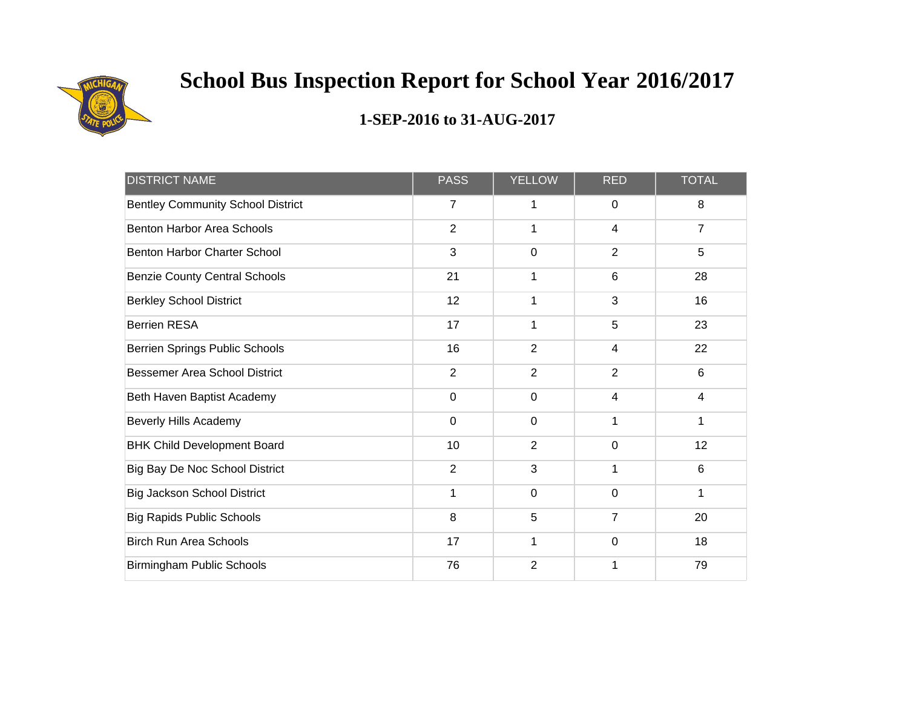

| <b>DISTRICT NAME</b>                     | <b>PASS</b>    | <b>YELLOW</b>  | <b>RED</b>     | <b>TOTAL</b>   |
|------------------------------------------|----------------|----------------|----------------|----------------|
| <b>Bentley Community School District</b> | $\overline{7}$ | 1              | 0              | 8              |
| <b>Benton Harbor Area Schools</b>        | $\overline{2}$ | 1              | 4              | $\overline{7}$ |
| <b>Benton Harbor Charter School</b>      | 3              | $\mathbf 0$    | 2              | 5              |
| <b>Benzie County Central Schools</b>     | 21             | 1              | 6              | 28             |
| <b>Berkley School District</b>           | 12             | 1              | 3              | 16             |
| <b>Berrien RESA</b>                      | 17             | 1              | 5              | 23             |
| <b>Berrien Springs Public Schools</b>    | 16             | $\overline{2}$ | 4              | 22             |
| <b>Bessemer Area School District</b>     | $\overline{2}$ | $\overline{2}$ | $\overline{2}$ | $6\phantom{1}$ |
| Beth Haven Baptist Academy               | $\mathbf 0$    | $\mathbf 0$    | 4              | $\overline{4}$ |
| <b>Beverly Hills Academy</b>             | $\mathbf 0$    | $\mathbf 0$    | 1              | 1              |
| <b>BHK Child Development Board</b>       | 10             | $\overline{2}$ | $\mathbf 0$    | 12             |
| Big Bay De Noc School District           | $\overline{2}$ | 3              | 1              | 6              |
| <b>Big Jackson School District</b>       | 1              | $\mathbf 0$    | $\mathbf 0$    | 1              |
| <b>Big Rapids Public Schools</b>         | 8              | 5              | $\overline{7}$ | 20             |
| <b>Birch Run Area Schools</b>            | 17             | 1              | $\mathbf 0$    | 18             |
| <b>Birmingham Public Schools</b>         | 76             | $\overline{2}$ |                | 79             |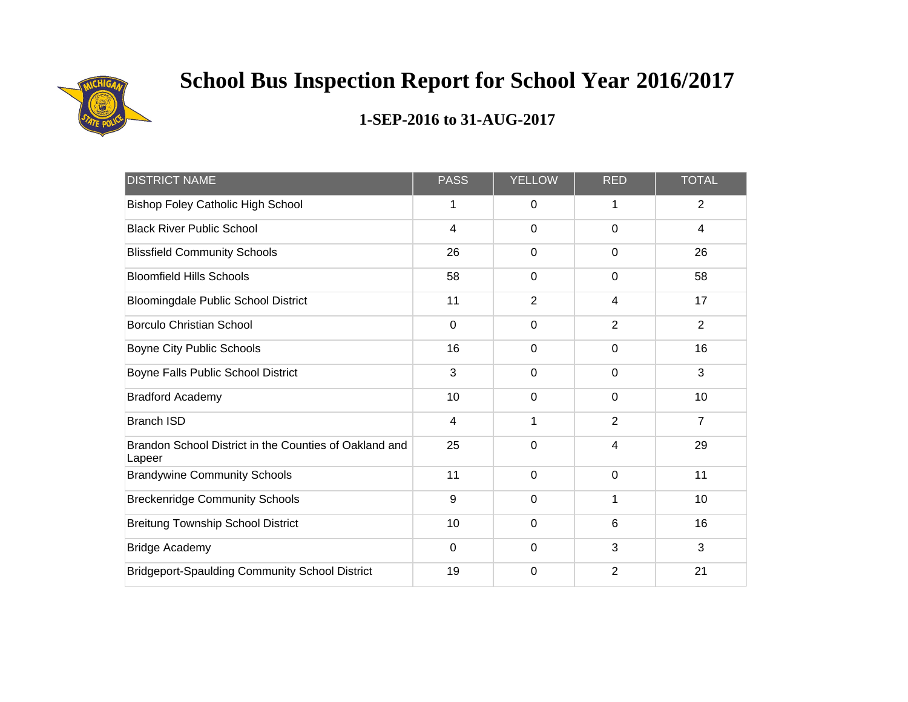

| <b>DISTRICT NAME</b>                                             | <b>PASS</b>             | <b>YELLOW</b>  | <b>RED</b>               | <b>TOTAL</b>   |
|------------------------------------------------------------------|-------------------------|----------------|--------------------------|----------------|
| <b>Bishop Foley Catholic High School</b>                         | 1                       | 0              | 1                        | $\overline{2}$ |
| <b>Black River Public School</b>                                 | $\overline{\mathbf{4}}$ | $\mathbf 0$    | $\mathbf 0$              | $\overline{4}$ |
| <b>Blissfield Community Schools</b>                              | 26                      | $\mathbf 0$    | $\mathbf 0$              | 26             |
| <b>Bloomfield Hills Schools</b>                                  | 58                      | $\mathbf 0$    | $\mathbf 0$              | 58             |
| <b>Bloomingdale Public School District</b>                       | 11                      | $\overline{2}$ | 4                        | 17             |
| <b>Borculo Christian School</b>                                  | $\mathbf 0$             | $\mathbf 0$    | 2                        | $\overline{2}$ |
| Boyne City Public Schools                                        | 16                      | $\mathbf 0$    | $\mathbf 0$              | 16             |
| Boyne Falls Public School District                               | 3                       | $\mathbf 0$    | $\mathbf 0$              | 3              |
| <b>Bradford Academy</b>                                          | 10                      | $\mathbf 0$    | $\Omega$                 | 10             |
| <b>Branch ISD</b>                                                | $\overline{4}$          | 1              | $\overline{2}$           | $\overline{7}$ |
| Brandon School District in the Counties of Oakland and<br>Lapeer | 25                      | $\mathbf 0$    | $\overline{\mathcal{A}}$ | 29             |
| <b>Brandywine Community Schools</b>                              | 11                      | $\mathbf 0$    | $\mathbf 0$              | 11             |
| <b>Breckenridge Community Schools</b>                            | 9                       | $\mathbf 0$    |                          | 10             |
| <b>Breitung Township School District</b>                         | 10                      | 0              | 6                        | 16             |
| <b>Bridge Academy</b>                                            | $\overline{0}$          | $\mathbf 0$    | 3                        | 3              |
| <b>Bridgeport-Spaulding Community School District</b>            | 19                      | 0              | $\overline{2}$           | 21             |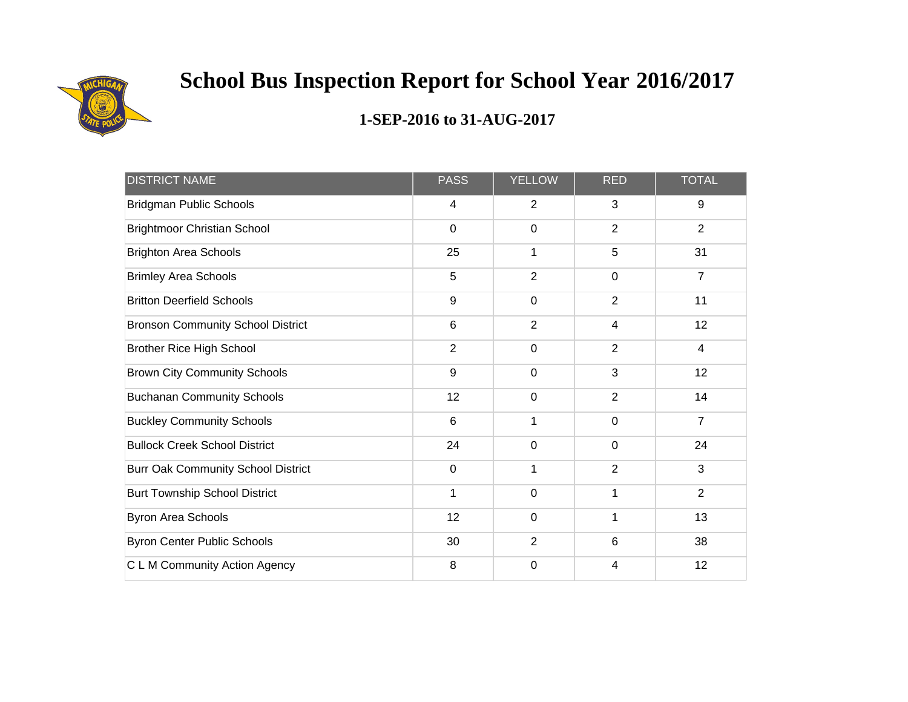

| <b>DISTRICT NAME</b>                      | <b>PASS</b>    | <b>YELLOW</b>  | <b>RED</b>     | <b>TOTAL</b>   |
|-------------------------------------------|----------------|----------------|----------------|----------------|
| <b>Bridgman Public Schools</b>            | 4              | $\overline{2}$ | 3              | 9              |
| <b>Brightmoor Christian School</b>        | $\mathbf 0$    | $\mathbf 0$    | $\overline{2}$ | $\overline{2}$ |
| <b>Brighton Area Schools</b>              | 25             | 1              | 5              | 31             |
| <b>Brimley Area Schools</b>               | 5              | $\overline{2}$ | $\mathbf 0$    | $\overline{7}$ |
| <b>Britton Deerfield Schools</b>          | 9              | $\mathbf 0$    | $\overline{2}$ | 11             |
| <b>Bronson Community School District</b>  | $6\phantom{1}$ | $\overline{2}$ | $\overline{4}$ | 12             |
| <b>Brother Rice High School</b>           | $\overline{2}$ | $\mathbf 0$    | $\overline{2}$ | $\overline{4}$ |
| <b>Brown City Community Schools</b>       | 9              | $\mathbf 0$    | 3              | 12             |
| <b>Buchanan Community Schools</b>         | 12             | $\mathbf 0$    | $\overline{2}$ | 14             |
| <b>Buckley Community Schools</b>          | 6              | 1              | $\Omega$       | $\overline{7}$ |
| <b>Bullock Creek School District</b>      | 24             | $\mathbf 0$    | $\mathbf 0$    | 24             |
| <b>Burr Oak Community School District</b> | $\mathbf 0$    | 1              | $\overline{2}$ | 3              |
| <b>Burt Township School District</b>      | 1              | $\mathbf 0$    | 1              | $\overline{2}$ |
| Byron Area Schools                        | 12             | $\pmb{0}$      | 1              | 13             |
| <b>Byron Center Public Schools</b>        | 30             | $\overline{2}$ | 6              | 38             |
| C L M Community Action Agency             | 8              | $\mathbf 0$    | 4              | 12             |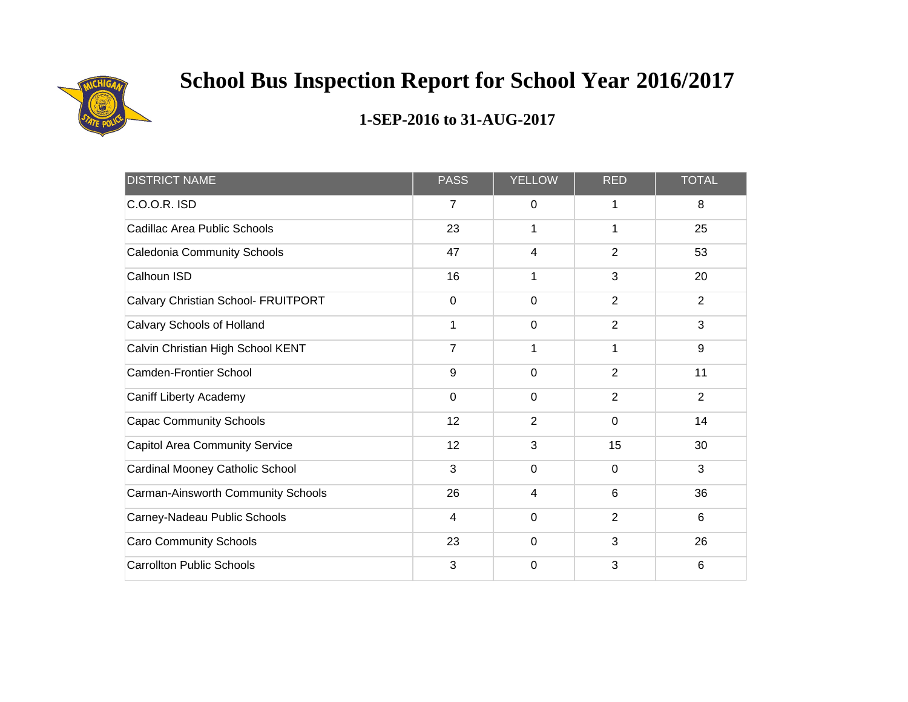

| <b>DISTRICT NAME</b>                  | <b>PASS</b>    | <b>YELLOW</b>  | <b>RED</b>     | <b>TOTAL</b>   |
|---------------------------------------|----------------|----------------|----------------|----------------|
| $C.O.O.R.$ ISD                        | $\overline{7}$ | 0              | 1              | 8              |
| Cadillac Area Public Schools          | 23             | 1              | 1              | 25             |
| Caledonia Community Schools           | 47             | 4              | 2              | 53             |
| Calhoun ISD                           | 16             | 1              | 3              | 20             |
| Calvary Christian School- FRUITPORT   | $\overline{0}$ | $\mathbf 0$    | 2              | $\overline{2}$ |
| Calvary Schools of Holland            | 1              | $\mathbf 0$    | $\overline{2}$ | 3              |
| Calvin Christian High School KENT     | $\overline{7}$ | 1              | 1              | $9\,$          |
| <b>Camden-Frontier School</b>         | 9              | $\mathbf 0$    | $\overline{2}$ | 11             |
| <b>Caniff Liberty Academy</b>         | $\mathbf 0$    | $\mathbf 0$    | $\overline{2}$ | $\overline{2}$ |
| <b>Capac Community Schools</b>        | 12             | $\overline{2}$ | 0              | 14             |
| <b>Capitol Area Community Service</b> | 12             | 3              | 15             | 30             |
| Cardinal Mooney Catholic School       | 3              | $\mathbf 0$    | $\mathbf 0$    | $\mathbf{3}$   |
| Carman-Ainsworth Community Schools    | 26             | 4              | $6\phantom{1}$ | 36             |
| Carney-Nadeau Public Schools          | $\overline{4}$ | $\mathbf 0$    | $\overline{2}$ | 6              |
| <b>Caro Community Schools</b>         | 23             | $\mathbf 0$    | 3              | 26             |
| <b>Carrollton Public Schools</b>      | 3              | $\mathbf 0$    | 3              | 6              |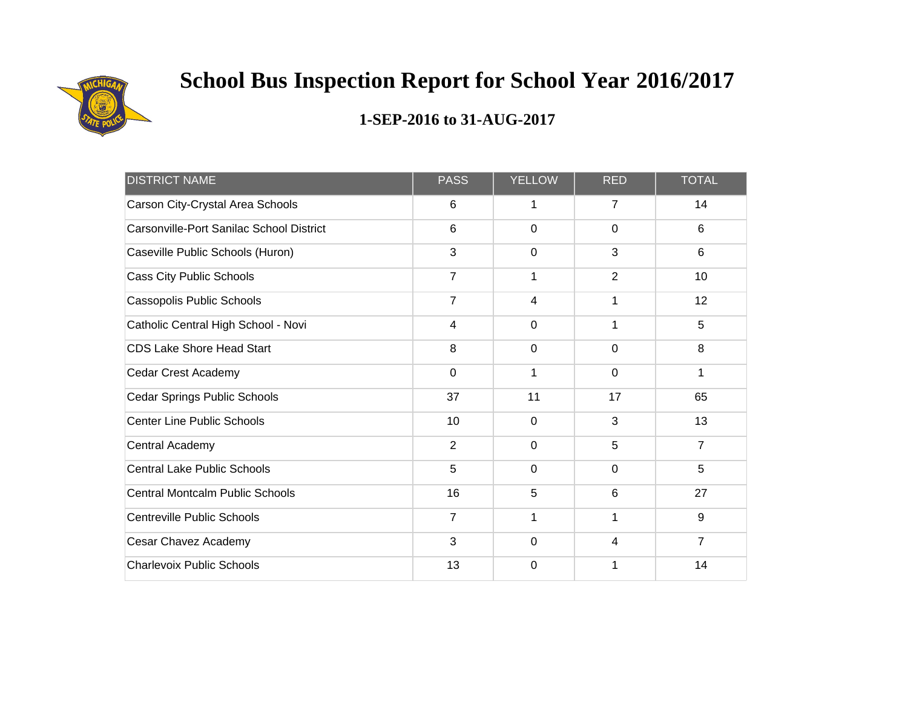

| <b>DISTRICT NAME</b>                     | <b>PASS</b>    | <b>YELLOW</b>  | <b>RED</b>     | <b>TOTAL</b>   |
|------------------------------------------|----------------|----------------|----------------|----------------|
| Carson City-Crystal Area Schools         | 6              | 1              | $\overline{7}$ | 14             |
| Carsonville-Port Sanilac School District | 6              | $\mathbf 0$    | $\mathbf 0$    | 6              |
| Caseville Public Schools (Huron)         | 3              | $\mathbf 0$    | 3              | 6              |
| Cass City Public Schools                 | $\overline{7}$ | 1              | $\overline{2}$ | 10             |
| Cassopolis Public Schools                | $\overline{7}$ | 4              | 1              | 12             |
| Catholic Central High School - Novi      | $\overline{4}$ | $\overline{0}$ | 1              | 5              |
| <b>CDS Lake Shore Head Start</b>         | 8              | $\mathbf 0$    | $\mathbf 0$    | 8              |
| Cedar Crest Academy                      | $\mathbf 0$    | $\mathbf 1$    | $\mathbf 0$    | 1              |
| Cedar Springs Public Schools             | 37             | 11             | 17             | 65             |
| <b>Center Line Public Schools</b>        | 10             | 0              | 3              | 13             |
| Central Academy                          | $\overline{2}$ | $\mathbf 0$    | 5              | $\overline{7}$ |
| <b>Central Lake Public Schools</b>       | 5              | $\mathbf 0$    | $\mathbf 0$    | 5              |
| <b>Central Montcalm Public Schools</b>   | 16             | 5              | $6\phantom{1}$ | 27             |
| <b>Centreville Public Schools</b>        | $\overline{7}$ | 1              | 1              | $9\,$          |
| Cesar Chavez Academy                     | 3              | $\mathbf 0$    | $\overline{4}$ | $\overline{7}$ |
| <b>Charlevoix Public Schools</b>         | 13             | $\mathbf 0$    |                | 14             |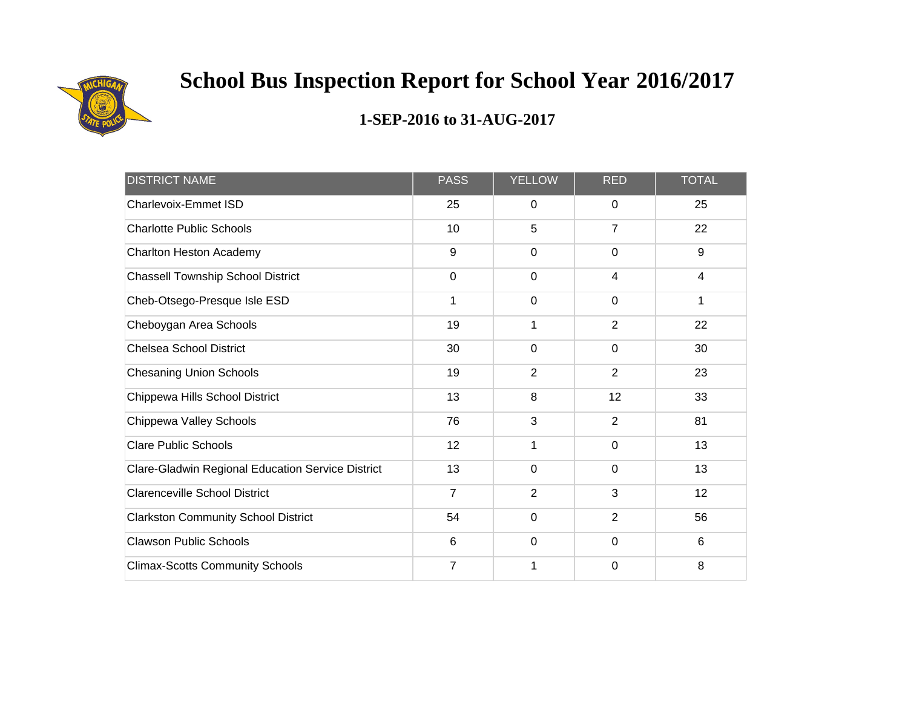

| <b>DISTRICT NAME</b>                              | <b>PASS</b>    | <b>YELLOW</b>  | <b>RED</b>     | <b>TOTAL</b>   |
|---------------------------------------------------|----------------|----------------|----------------|----------------|
| Charlevoix-Emmet ISD                              | 25             | $\mathbf 0$    | 0              | 25             |
| <b>Charlotte Public Schools</b>                   | 10             | 5              | 7              | 22             |
| Charlton Heston Academy                           | 9              | $\mathbf 0$    | $\mathbf 0$    | 9              |
| <b>Chassell Township School District</b>          | $\mathbf 0$    | $\mathbf 0$    | $\overline{4}$ | $\overline{4}$ |
| Cheb-Otsego-Presque Isle ESD                      | 1              | $\mathbf 0$    | $\mathbf 0$    | 1              |
| Cheboygan Area Schools                            | 19             | 1              | $\overline{2}$ | 22             |
| <b>Chelsea School District</b>                    | 30             | $\mathbf 0$    | $\mathbf 0$    | 30             |
| <b>Chesaning Union Schools</b>                    | 19             | $\overline{2}$ | $\overline{2}$ | 23             |
| Chippewa Hills School District                    | 13             | 8              | 12             | 33             |
| Chippewa Valley Schools                           | 76             | 3              | 2              | 81             |
| <b>Clare Public Schools</b>                       | 12             | 1              | $\mathbf 0$    | 13             |
| Clare-Gladwin Regional Education Service District | 13             | $\mathbf 0$    | $\mathbf 0$    | 13             |
| <b>Clarenceville School District</b>              | $\overline{7}$ | $\overline{2}$ | 3              | 12             |
| <b>Clarkston Community School District</b>        | 54             | $\mathbf 0$    | $\overline{2}$ | 56             |
| <b>Clawson Public Schools</b>                     | 6              | $\mathbf 0$    | $\mathbf 0$    | 6              |
| <b>Climax-Scotts Community Schools</b>            | 7              | 1              | $\mathbf 0$    | 8              |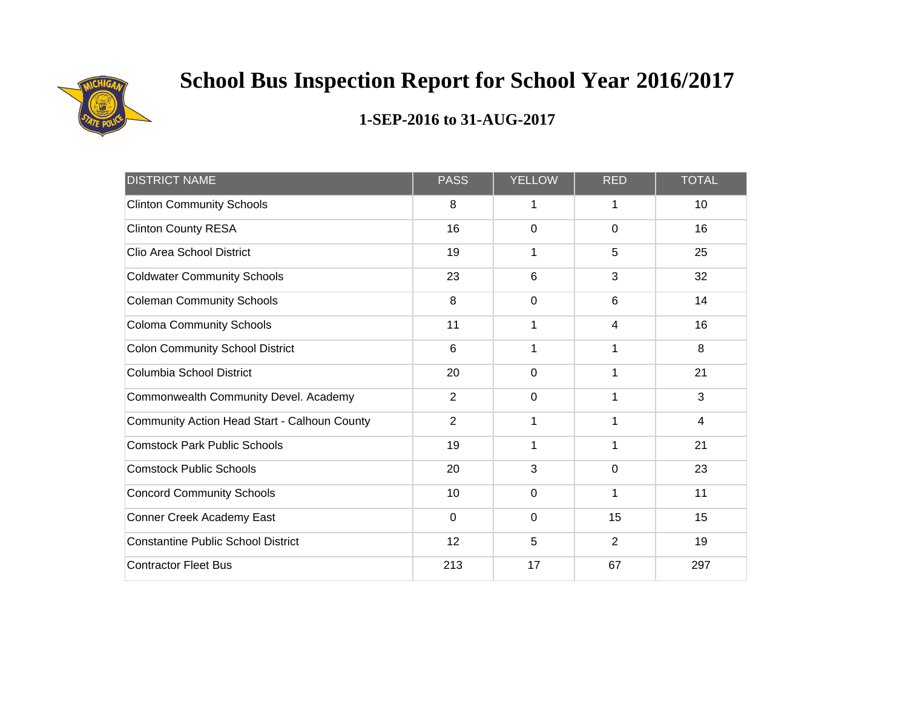

| <b>DISTRICT NAME</b>                         | <b>PASS</b>    | <b>YELLOW</b> | <b>RED</b>     | <b>TOTAL</b> |
|----------------------------------------------|----------------|---------------|----------------|--------------|
| <b>Clinton Community Schools</b>             | 8              | 1             | 1              | 10           |
| <b>Clinton County RESA</b>                   | 16             | $\mathbf 0$   | $\mathbf 0$    | 16           |
| Clio Area School District                    | 19             | 1             | 5              | 25           |
| <b>Coldwater Community Schools</b>           | 23             | 6             | 3              | 32           |
| <b>Coleman Community Schools</b>             | 8              | $\mathbf 0$   | 6              | 14           |
| <b>Coloma Community Schools</b>              | 11             | 1             | $\overline{4}$ | 16           |
| <b>Colon Community School District</b>       | 6              | 1             | 1              | 8            |
| Columbia School District                     | 20             | $\mathbf 0$   | 1              | 21           |
| Commonwealth Community Devel. Academy        | $\overline{2}$ | $\mathbf 0$   |                | 3            |
| Community Action Head Start - Calhoun County | $\overline{2}$ | 1             | 1              | 4            |
| <b>Comstock Park Public Schools</b>          | 19             | 1             | 1              | 21           |
| <b>Comstock Public Schools</b>               | 20             | 3             | $\mathbf 0$    | 23           |
| <b>Concord Community Schools</b>             | 10             | $\mathbf 0$   | 1              | 11           |
| Conner Creek Academy East                    | $\mathbf 0$    | $\mathbf 0$   | 15             | 15           |
| <b>Constantine Public School District</b>    | 12             | 5             | $\overline{2}$ | 19           |
| <b>Contractor Fleet Bus</b>                  | 213            | 17            | 67             | 297          |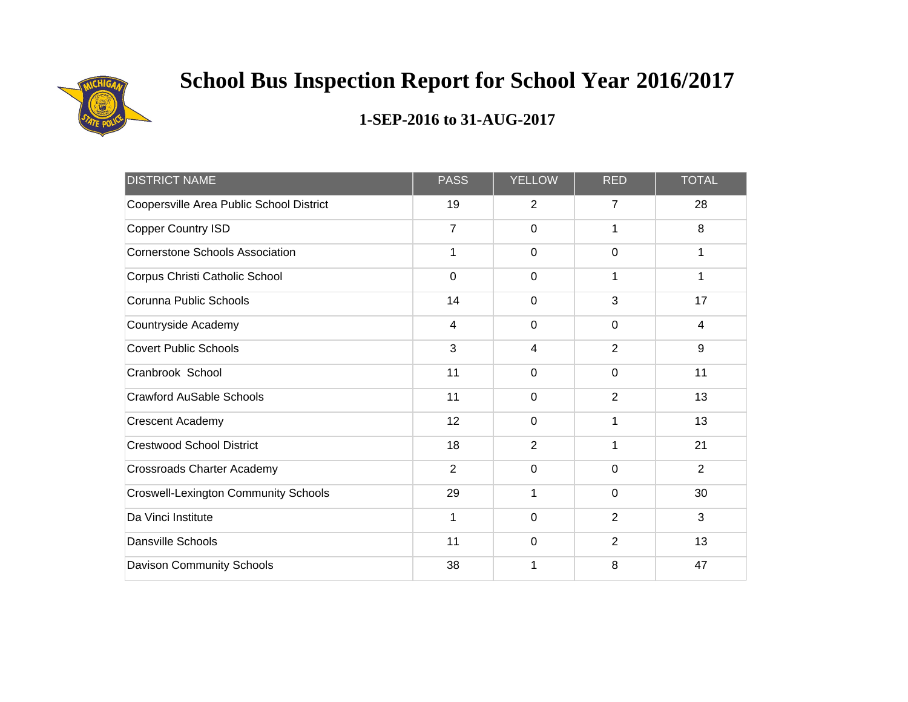

| <b>DISTRICT NAME</b>                        | <b>PASS</b>    | <b>YELLOW</b>  | <b>RED</b>     | <b>TOTAL</b>   |
|---------------------------------------------|----------------|----------------|----------------|----------------|
| Coopersville Area Public School District    | 19             | $\overline{2}$ | $\overline{7}$ | 28             |
| <b>Copper Country ISD</b>                   | $\overline{7}$ | $\mathbf 0$    | 1              | 8              |
| <b>Cornerstone Schools Association</b>      | 1              | $\mathbf 0$    | $\mathbf 0$    | 1              |
| Corpus Christi Catholic School              | 0              | $\mathbf 0$    |                | 1              |
| Corunna Public Schools                      | 14             | $\mathbf 0$    | 3              | 17             |
| Countryside Academy                         | $\overline{4}$ | $\mathbf 0$    | $\mathbf 0$    | $\overline{4}$ |
| <b>Covert Public Schools</b>                | 3              | $\overline{4}$ | $\overline{2}$ | $9\,$          |
| Cranbrook School                            | 11             | 0              | $\mathbf 0$    | 11             |
| <b>Crawford AuSable Schools</b>             | 11             | $\overline{0}$ | $\overline{2}$ | 13             |
| <b>Crescent Academy</b>                     | 12             | $\Omega$       | 1              | 13             |
| <b>Crestwood School District</b>            | 18             | $\overline{2}$ | 1              | 21             |
| <b>Crossroads Charter Academy</b>           | $\overline{2}$ | $\mathbf 0$    | $\mathbf 0$    | $\overline{2}$ |
| <b>Croswell-Lexington Community Schools</b> | 29             | 1              | $\overline{0}$ | 30             |
| Da Vinci Institute                          | 1              | $\mathbf 0$    | $\overline{2}$ | 3              |
| <b>Dansville Schools</b>                    | 11             | $\mathbf 0$    | 2              | 13             |
| <b>Davison Community Schools</b>            | 38             | 1              | 8              | 47             |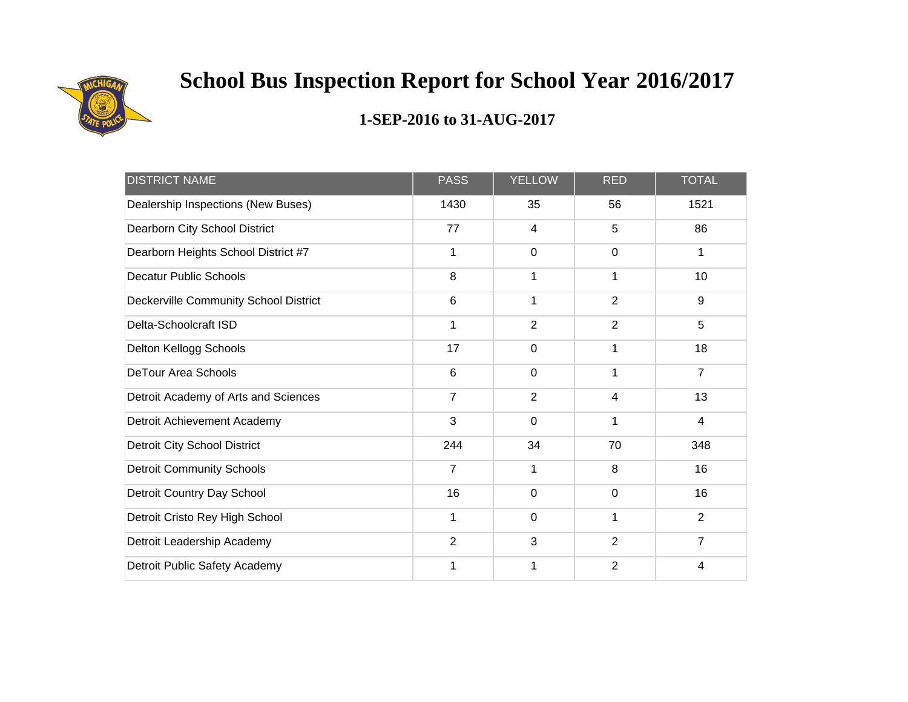

| <b>DISTRICT NAME</b>                  | <b>PASS</b>    | <b>YELLOW</b>  | <b>RED</b>     | <b>TOTAL</b>   |
|---------------------------------------|----------------|----------------|----------------|----------------|
| Dealership Inspections (New Buses)    | 1430           | 35             | 56             | 1521           |
| Dearborn City School District         | 77             | 4              | 5              | 86             |
| Dearborn Heights School District #7   | 1              | $\mathbf 0$    | $\mathbf 0$    | 1              |
| <b>Decatur Public Schools</b>         | 8              | 1              | 1              | 10             |
| Deckerville Community School District | $6\phantom{1}$ | 1              | $\overline{2}$ | $9\,$          |
| Delta-Schoolcraft ISD                 | 1              | $\overline{2}$ | $\overline{2}$ | 5              |
| Delton Kellogg Schools                | 17             | $\mathbf 0$    | 1              | 18             |
| <b>DeTour Area Schools</b>            | 6              | $\mathbf 0$    | 1              | $\overline{7}$ |
| Detroit Academy of Arts and Sciences  | $\overline{7}$ | $\overline{2}$ | 4              | 13             |
| Detroit Achievement Academy           | 3              | $\mathbf 0$    | 1              | 4              |
| <b>Detroit City School District</b>   | 244            | 34             | 70             | 348            |
| <b>Detroit Community Schools</b>      | 7              | 1              | 8              | 16             |
| Detroit Country Day School            | 16             | $\mathbf 0$    | $\mathbf 0$    | 16             |
| Detroit Cristo Rey High School        | 1              | $\mathbf 0$    | 1              | $\overline{2}$ |
| Detroit Leadership Academy            | 2              | 3              | 2              | $\overline{7}$ |
| Detroit Public Safety Academy         | 1              | 1              | $\overline{2}$ | 4              |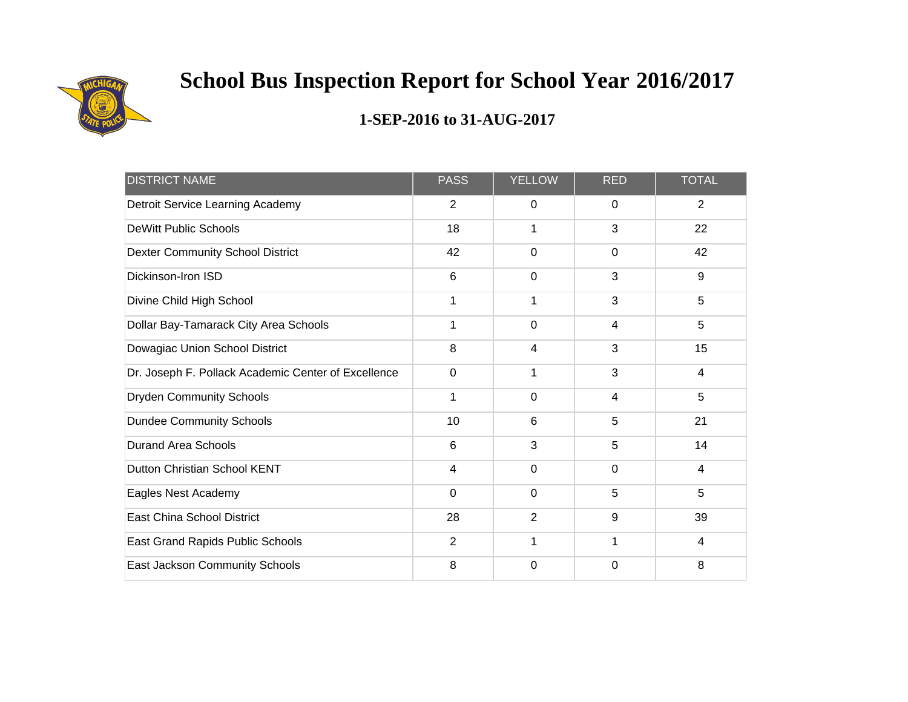

| <b>DISTRICT NAME</b>                                | <b>PASS</b>    | <b>YELLOW</b>  | <b>RED</b> | <b>TOTAL</b>     |
|-----------------------------------------------------|----------------|----------------|------------|------------------|
| Detroit Service Learning Academy                    | 2              | 0              | 0          | $\overline{2}$   |
| <b>DeWitt Public Schools</b>                        | 18             | 1              | 3          | 22               |
| <b>Dexter Community School District</b>             | 42             | 0              | 0          | 42               |
| Dickinson-Iron ISD                                  | 6              | 0              | 3          | $\boldsymbol{9}$ |
| Divine Child High School                            | 1              | 1              | 3          | 5                |
| Dollar Bay-Tamarack City Area Schools               | 1              | $\overline{0}$ | 4          | 5                |
| Dowagiac Union School District                      | 8              | 4              | 3          | 15               |
| Dr. Joseph F. Pollack Academic Center of Excellence | 0              | 1              | 3          | 4                |
| <b>Dryden Community Schools</b>                     | 1              | 0              | 4          | 5                |
| <b>Dundee Community Schools</b>                     | 10             | 6              | 5          | 21               |
| <b>Durand Area Schools</b>                          | 6              | 3              | 5          | 14               |
| Dutton Christian School KENT                        | $\overline{4}$ | $\mathbf 0$    | $\Omega$   | 4                |
| Eagles Nest Academy                                 | 0              | $\mathbf 0$    | 5          | 5                |
| East China School District                          | 28             | $\overline{2}$ | 9          | 39               |
| East Grand Rapids Public Schools                    | $\overline{2}$ | 1              | 1          | 4                |
| East Jackson Community Schools                      | 8              | 0              | $\Omega$   | 8                |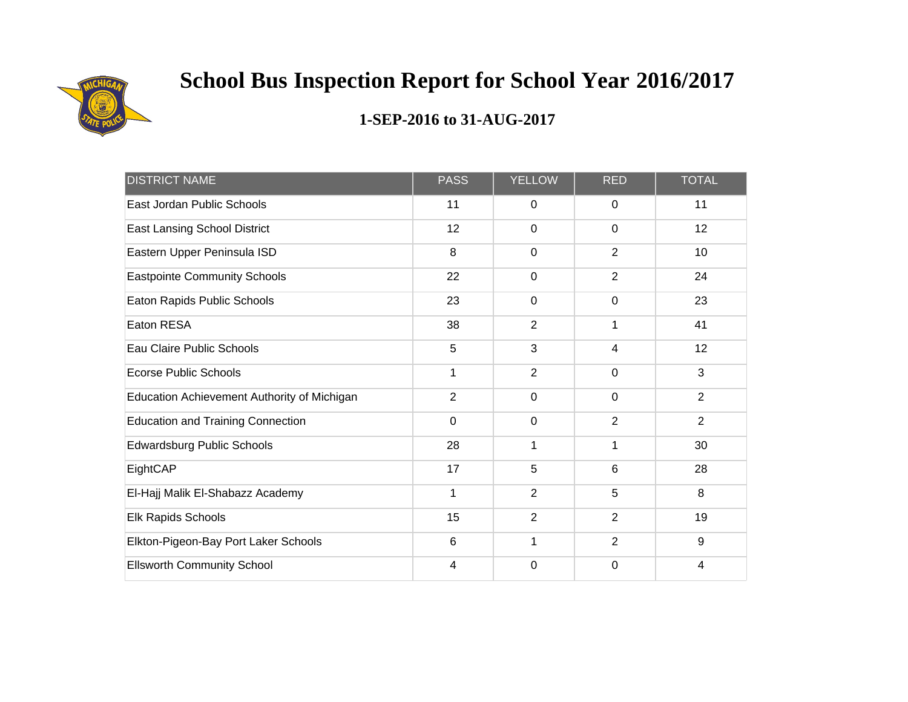

| <b>DISTRICT NAME</b>                        | <b>PASS</b>    | <b>YELLOW</b>  | <b>RED</b>     | <b>TOTAL</b>   |
|---------------------------------------------|----------------|----------------|----------------|----------------|
| East Jordan Public Schools                  | 11             | 0              | 0              | 11             |
| <b>East Lansing School District</b>         | 12             | $\mathbf 0$    | $\mathbf 0$    | 12             |
| Eastern Upper Peninsula ISD                 | 8              | $\mathbf 0$    | $\overline{2}$ | 10             |
| <b>Eastpointe Community Schools</b>         | 22             | $\mathbf 0$    | $\overline{2}$ | 24             |
| Eaton Rapids Public Schools                 | 23             | $\mathbf 0$    | $\mathbf 0$    | 23             |
| Eaton RESA                                  | 38             | $\overline{2}$ | 1              | 41             |
| Eau Claire Public Schools                   | 5              | 3              | $\overline{4}$ | 12             |
| <b>Ecorse Public Schools</b>                | 1              | $\overline{2}$ | $\mathbf 0$    | 3              |
| Education Achievement Authority of Michigan | $\overline{2}$ | $\mathbf 0$    | $\mathbf 0$    | $\overline{2}$ |
| <b>Education and Training Connection</b>    | $\mathbf 0$    | $\mathbf 0$    | 2              | $\overline{2}$ |
| Edwardsburg Public Schools                  | 28             | 1              | 1              | 30             |
| EightCAP                                    | 17             | 5              | 6              | 28             |
| El-Hajj Malik El-Shabazz Academy            | 1              | $\overline{2}$ | 5              | 8              |
| Elk Rapids Schools                          | 15             | $\overline{2}$ | $\overline{2}$ | 19             |
| Elkton-Pigeon-Bay Port Laker Schools        | 6              | 1              | 2              | 9              |
| <b>Ellsworth Community School</b>           | 4              | $\mathbf 0$    | $\mathbf 0$    | 4              |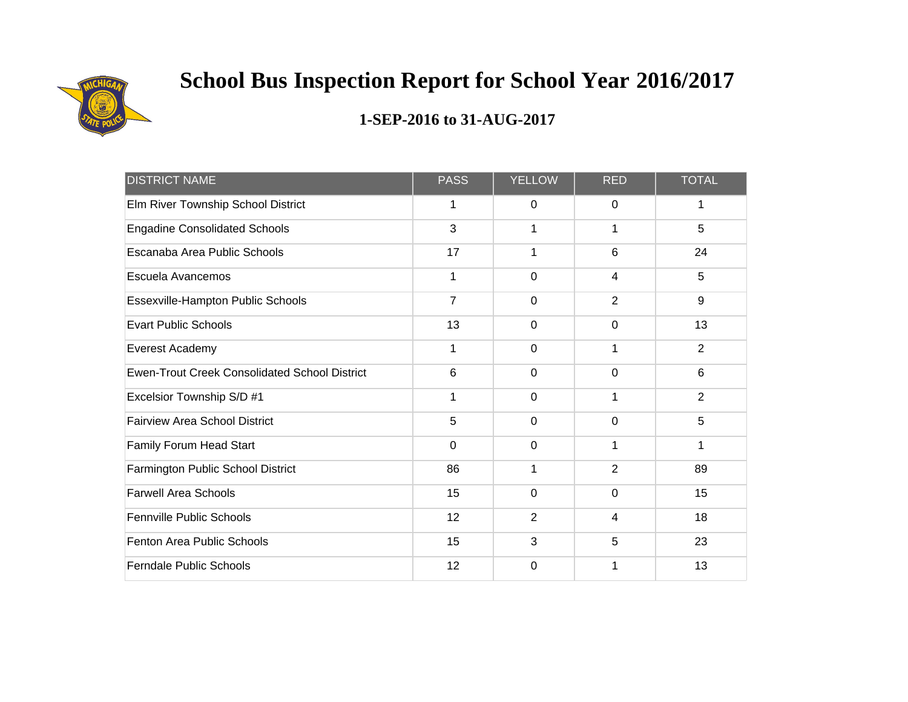

| <b>DISTRICT NAME</b>                                 | <b>PASS</b>    | <b>YELLOW</b>  | <b>RED</b>     | <b>TOTAL</b>   |
|------------------------------------------------------|----------------|----------------|----------------|----------------|
| Elm River Township School District                   | 1              | 0              | 0              | 1              |
| <b>Engadine Consolidated Schools</b>                 | 3              | 1              | 1              | 5              |
| Escanaba Area Public Schools                         | 17             | 1              | 6              | 24             |
| Escuela Avancemos                                    | 1              | 0              | 4              | 5              |
| Essexville-Hampton Public Schools                    | $\overline{7}$ | 0              | $\overline{2}$ | 9              |
| <b>Evart Public Schools</b>                          | 13             | $\overline{0}$ | $\mathbf 0$    | 13             |
| Everest Academy                                      | 1              | $\mathbf 0$    | 1              | $\overline{2}$ |
| <b>Ewen-Trout Creek Consolidated School District</b> | 6              | 0              | 0              | 6              |
| Excelsior Township S/D #1                            | 1              | $\mathbf 0$    | 1              | $\overline{2}$ |
| <b>Fairview Area School District</b>                 | 5              | $\mathbf 0$    | $\mathbf 0$    | 5              |
| Family Forum Head Start                              | 0              | $\overline{0}$ | 1              | 1              |
| Farmington Public School District                    | 86             | 1              | $\overline{2}$ | 89             |
| <b>Farwell Area Schools</b>                          | 15             | 0              | $\mathbf 0$    | 15             |
| <b>Fennville Public Schools</b>                      | 12             | $\overline{2}$ | 4              | 18             |
| Fenton Area Public Schools                           | 15             | 3              | 5              | 23             |
| <b>Ferndale Public Schools</b>                       | 12             | 0              |                | 13             |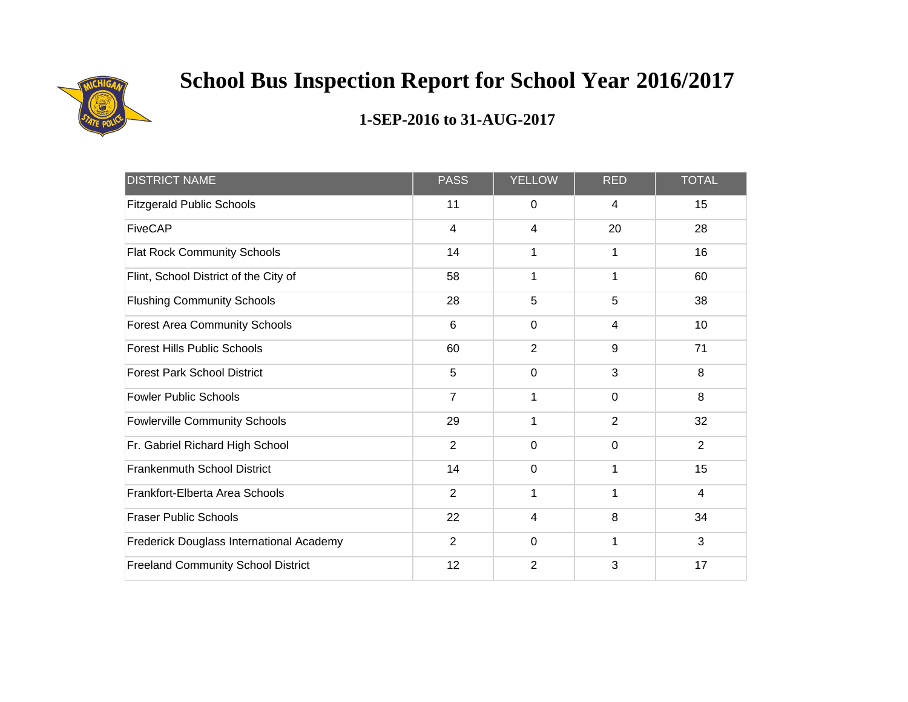

| <b>DISTRICT NAME</b>                      | <b>PASS</b>    | <b>YELLOW</b>  | <b>RED</b>     | <b>TOTAL</b>   |
|-------------------------------------------|----------------|----------------|----------------|----------------|
| <b>Fitzgerald Public Schools</b>          | 11             | $\mathbf 0$    | 4              | 15             |
| <b>FiveCAP</b>                            | $\overline{4}$ | 4              | 20             | 28             |
| <b>Flat Rock Community Schools</b>        | 14             | 1              | 1              | 16             |
| Flint, School District of the City of     | 58             | 1              |                | 60             |
| <b>Flushing Community Schools</b>         | 28             | 5              | 5              | 38             |
| <b>Forest Area Community Schools</b>      | 6              | $\mathbf 0$    | 4              | 10             |
| <b>Forest Hills Public Schools</b>        | 60             | $\overline{2}$ | 9              | 71             |
| <b>Forest Park School District</b>        | 5              | 0              | 3              | 8              |
| <b>Fowler Public Schools</b>              | $\overline{7}$ | 1              | $\mathbf 0$    | 8              |
| <b>Fowlerville Community Schools</b>      | 29             | 1              | $\overline{2}$ | 32             |
| Fr. Gabriel Richard High School           | $\overline{2}$ | $\mathbf 0$    | $\mathbf 0$    | $\overline{2}$ |
| Frankenmuth School District               | 14             | $\mathbf 0$    | 1              | 15             |
| Frankfort-Elberta Area Schools            | $\overline{2}$ | 1              | 1              | $\overline{4}$ |
| <b>Fraser Public Schools</b>              | 22             | 4              | 8              | 34             |
| Frederick Douglass International Academy  | $\overline{2}$ | $\mathbf 0$    | 1              | 3              |
| <b>Freeland Community School District</b> | 12             | $\overline{2}$ | 3              | 17             |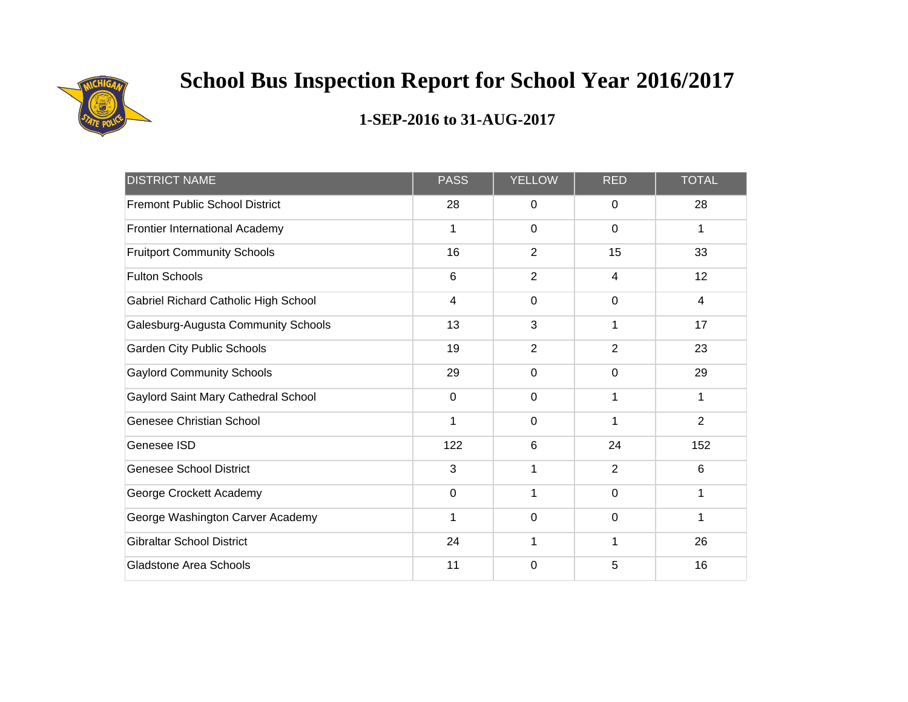

| <b>DISTRICT NAME</b>                  | <b>PASS</b> | <b>YELLOW</b>  | <b>RED</b>     | <b>TOTAL</b>   |
|---------------------------------------|-------------|----------------|----------------|----------------|
| <b>Fremont Public School District</b> | 28          | 0              | 0              | 28             |
| Frontier International Academy        | 1           | $\mathbf 0$    | $\mathbf 0$    | 1              |
| <b>Fruitport Community Schools</b>    | 16          | $\overline{2}$ | 15             | 33             |
| <b>Fulton Schools</b>                 | 6           | $\overline{2}$ | $\overline{4}$ | 12             |
| Gabriel Richard Catholic High School  | 4           | $\mathbf 0$    | $\mathbf 0$    | 4              |
| Galesburg-Augusta Community Schools   | 13          | 3              | 1              | 17             |
| <b>Garden City Public Schools</b>     | 19          | $\overline{2}$ | 2              | 23             |
| <b>Gaylord Community Schools</b>      | 29          | $\mathbf 0$    | $\mathbf 0$    | 29             |
| Gaylord Saint Mary Cathedral School   | $\mathbf 0$ | $\mathbf 0$    | 1              | 1              |
| <b>Genesee Christian School</b>       | 1           | $\mathbf 0$    | 1              | $\overline{2}$ |
| Genesee ISD                           | 122         | 6              | 24             | 152            |
| <b>Genesee School District</b>        | 3           | 1              | 2              | 6              |
| George Crockett Academy               | $\mathbf 0$ | 1              | $\mathbf 0$    | 1              |
| George Washington Carver Academy      | 1           | $\mathbf 0$    | $\mathbf 0$    | 1              |
| <b>Gibraltar School District</b>      | 24          | 1              | 1              | 26             |
| <b>Gladstone Area Schools</b>         | 11          | $\mathbf 0$    | 5              | 16             |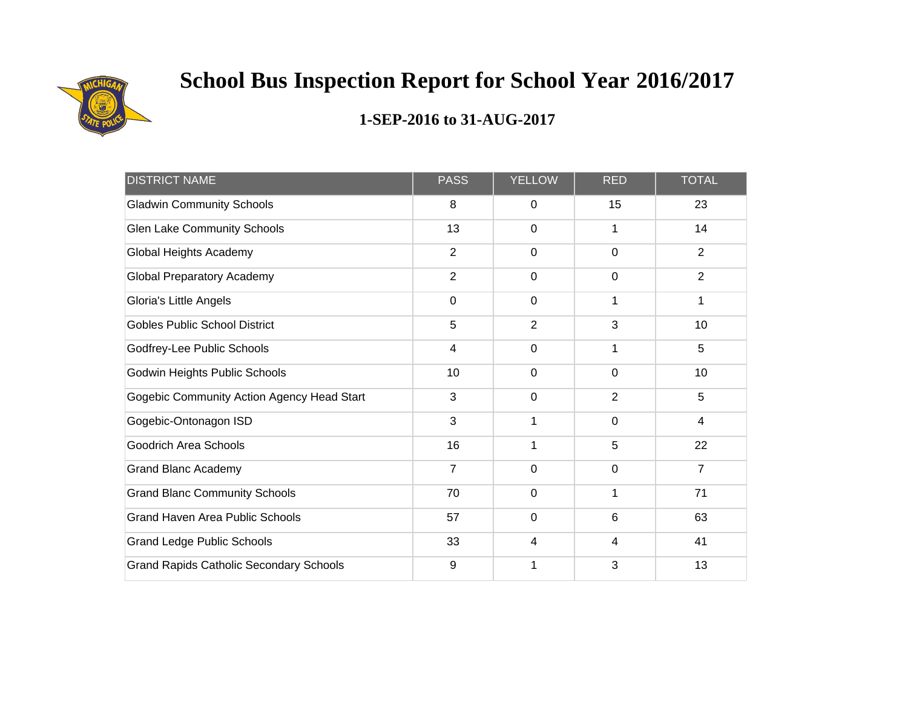

| <b>DISTRICT NAME</b>                           | <b>PASS</b>             | <b>YELLOW</b>  | <b>RED</b>     | <b>TOTAL</b>    |
|------------------------------------------------|-------------------------|----------------|----------------|-----------------|
| <b>Gladwin Community Schools</b>               | 8                       | $\mathbf 0$    | 15             | 23              |
| <b>Glen Lake Community Schools</b>             | 13                      | $\mathbf 0$    | 1              | 14              |
| Global Heights Academy                         | $\overline{2}$          | $\mathbf 0$    | $\mathbf 0$    | $\overline{2}$  |
| <b>Global Preparatory Academy</b>              | $\overline{2}$          | $\mathbf 0$    | $\overline{0}$ | $\overline{2}$  |
| Gloria's Little Angels                         | $\mathbf 0$             | $\mathbf 0$    | 1              | 1               |
| <b>Gobles Public School District</b>           | 5                       | $\overline{2}$ | 3              | 10              |
| Godfrey-Lee Public Schools                     | $\overline{\mathbf{4}}$ | $\mathbf 0$    | 1              | 5               |
| Godwin Heights Public Schools                  | 10                      | $\mathbf 0$    | $\mathbf 0$    | 10 <sup>1</sup> |
| Gogebic Community Action Agency Head Start     | 3                       | $\mathbf 0$    | $\overline{2}$ | 5               |
| Gogebic-Ontonagon ISD                          | 3                       | 1              | 0              | 4               |
| <b>Goodrich Area Schools</b>                   | 16                      | 1              | 5              | 22              |
| <b>Grand Blanc Academy</b>                     | $\overline{7}$          | $\mathbf 0$    | $\mathbf 0$    | $\overline{7}$  |
| <b>Grand Blanc Community Schools</b>           | 70                      | $\mathbf 0$    | 1              | 71              |
| <b>Grand Haven Area Public Schools</b>         | 57                      | $\mathbf 0$    | $6\phantom{1}$ | 63              |
| <b>Grand Ledge Public Schools</b>              | 33                      | 4              | 4              | 41              |
| <b>Grand Rapids Catholic Secondary Schools</b> | 9                       | 1              | 3              | 13              |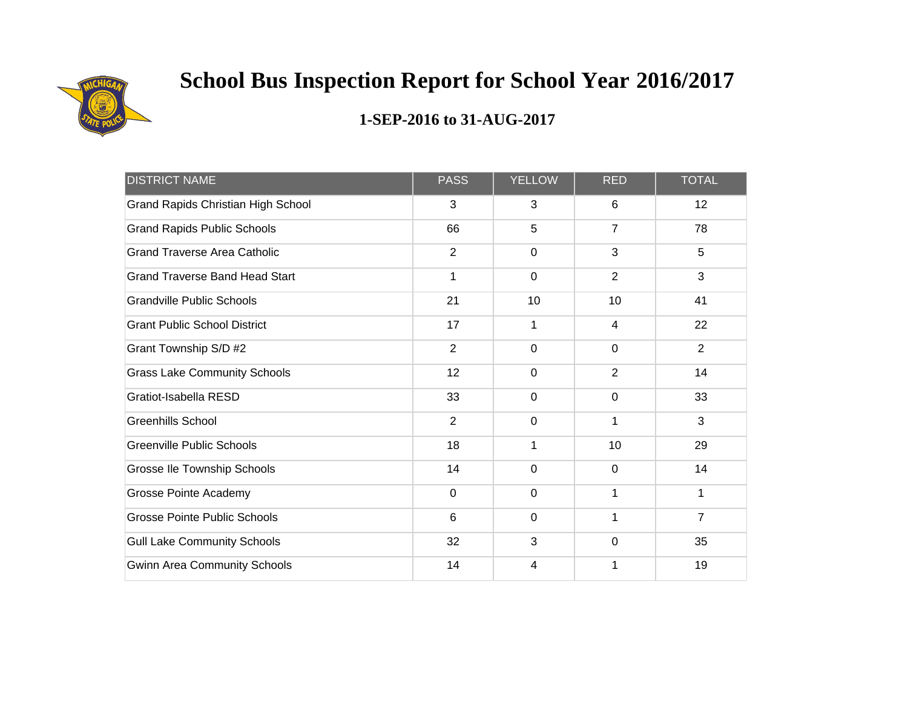

| <b>DISTRICT NAME</b>                      | <b>PASS</b>    | <b>YELLOW</b> | <b>RED</b>     | <b>TOTAL</b>   |
|-------------------------------------------|----------------|---------------|----------------|----------------|
| <b>Grand Rapids Christian High School</b> | 3              | 3             | 6              | 12             |
| <b>Grand Rapids Public Schools</b>        | 66             | 5             | $\overline{7}$ | 78             |
| <b>Grand Traverse Area Catholic</b>       | $\overline{2}$ | $\mathbf 0$   | 3              | 5              |
| <b>Grand Traverse Band Head Start</b>     | 1              | $\mathbf 0$   | $\overline{2}$ | 3              |
| <b>Grandville Public Schools</b>          | 21             | 10            | 10             | 41             |
| <b>Grant Public School District</b>       | 17             | 1             | 4              | 22             |
| Grant Township S/D #2                     | $\overline{2}$ | $\mathbf 0$   | $\mathbf 0$    | $\overline{2}$ |
| <b>Grass Lake Community Schools</b>       | 12             | $\mathbf 0$   | $\overline{2}$ | 14             |
| Gratiot-Isabella RESD                     | 33             | $\mathbf 0$   | $\mathbf 0$    | 33             |
| <b>Greenhills School</b>                  | $\overline{2}$ | $\Omega$      | 1              | 3              |
| <b>Greenville Public Schools</b>          | 18             | 1             | 10             | 29             |
| Grosse Ile Township Schools               | 14             | $\mathbf 0$   | $\Omega$       | 14             |
| Grosse Pointe Academy                     | 0              | $\mathbf 0$   |                | 1              |
| <b>Grosse Pointe Public Schools</b>       | 6              | $\mathbf 0$   |                | $\overline{7}$ |
| <b>Gull Lake Community Schools</b>        | 32             | 3             | $\mathbf 0$    | 35             |
| <b>Gwinn Area Community Schools</b>       | 14             | 4             |                | 19             |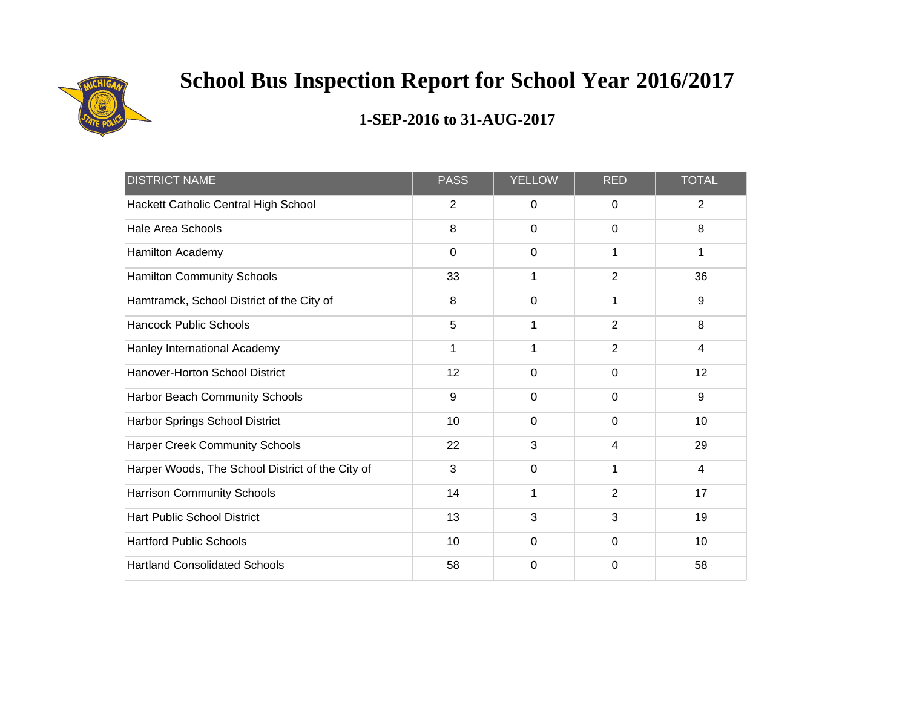

| <b>DISTRICT NAME</b>                             | <b>PASS</b>    | <b>YELLOW</b> | <b>RED</b>     | <b>TOTAL</b>   |
|--------------------------------------------------|----------------|---------------|----------------|----------------|
| Hackett Catholic Central High School             | $\overline{2}$ | $\mathbf 0$   | $\mathbf 0$    | $\overline{2}$ |
| <b>Hale Area Schools</b>                         | 8              | $\mathbf 0$   | $\mathbf 0$    | 8              |
| Hamilton Academy                                 | $\mathbf 0$    | 0             | 1              | 1              |
| <b>Hamilton Community Schools</b>                | 33             | 1             | $\overline{2}$ | 36             |
| Hamtramck, School District of the City of        | 8              | $\mathbf 0$   | 1              | 9              |
| <b>Hancock Public Schools</b>                    | 5              | 1             | $\overline{2}$ | 8              |
| Hanley International Academy                     | $\mathbf 1$    | 1             | $\overline{2}$ | $\overline{4}$ |
| Hanover-Horton School District                   | 12             | 0             | $\mathbf 0$    | 12             |
| Harbor Beach Community Schools                   | 9              | 0             | $\mathbf 0$    | $9\,$          |
| Harbor Springs School District                   | 10             | $\Omega$      | $\Omega$       | 10             |
| <b>Harper Creek Community Schools</b>            | 22             | 3             | 4              | 29             |
| Harper Woods, The School District of the City of | 3              | $\mathbf 0$   | 1              | 4              |
| <b>Harrison Community Schools</b>                | 14             | 1             | $\overline{2}$ | 17             |
| <b>Hart Public School District</b>               | 13             | 3             | 3              | 19             |
| <b>Hartford Public Schools</b>                   | 10             | $\mathbf 0$   | $\mathbf 0$    | 10             |
| <b>Hartland Consolidated Schools</b>             | 58             | 0             | $\Omega$       | 58             |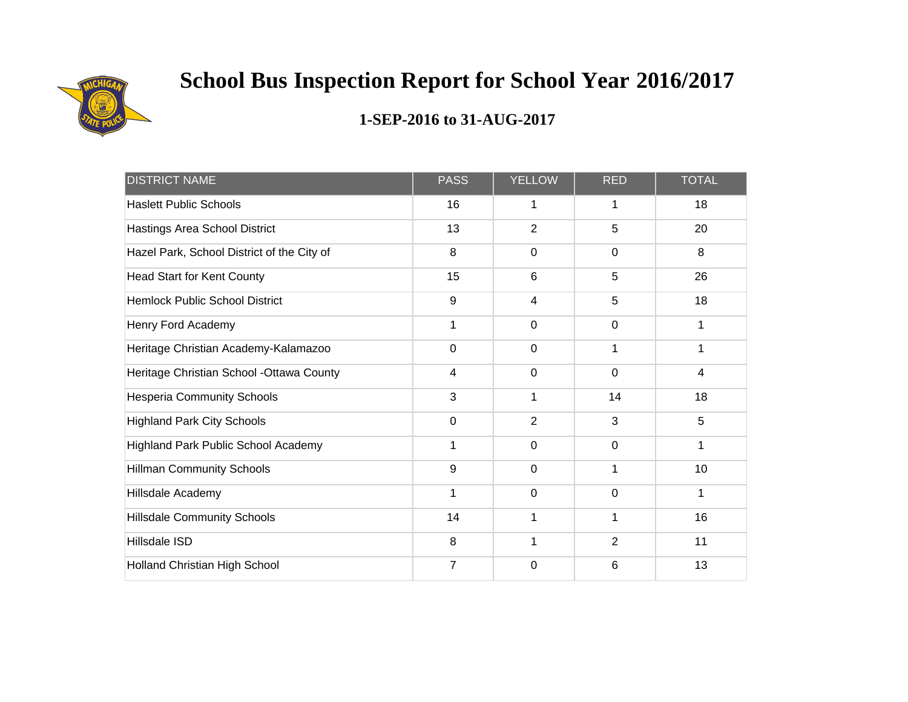

| <b>DISTRICT NAME</b>                       | <b>PASS</b> | <b>YELLOW</b>  | <b>RED</b>  | <b>TOTAL</b> |
|--------------------------------------------|-------------|----------------|-------------|--------------|
| <b>Haslett Public Schools</b>              | 16          | 1              | 1           | 18           |
| Hastings Area School District              | 13          | $\overline{2}$ | 5           | 20           |
| Hazel Park, School District of the City of | 8           | $\mathbf 0$    | 0           | 8            |
| <b>Head Start for Kent County</b>          | 15          | 6              | 5           | 26           |
| <b>Hemlock Public School District</b>      | 9           | 4              | 5           | 18           |
| Henry Ford Academy                         | 1           | $\mathbf 0$    | $\mathbf 0$ | 1            |
| Heritage Christian Academy-Kalamazoo       | $\mathbf 0$ | $\mathbf 0$    |             | 1            |
| Heritage Christian School - Ottawa County  | 4           | $\mathbf 0$    | $\mathbf 0$ | 4            |
| <b>Hesperia Community Schools</b>          | 3           | 1              | 14          | 18           |
| <b>Highland Park City Schools</b>          | $\mathbf 0$ | $\overline{2}$ | 3           | 5            |
| <b>Highland Park Public School Academy</b> | 1           | $\mathbf 0$    | $\mathbf 0$ | 1            |
| <b>Hillman Community Schools</b>           | 9           | $\mathbf 0$    | 1           | 10           |
| Hillsdale Academy                          | 1           | $\mathbf 0$    | $\mathbf 0$ | 1            |
| <b>Hillsdale Community Schools</b>         | 14          | 1              |             | 16           |
| Hillsdale ISD                              | 8           | 1              | 2           | 11           |
| Holland Christian High School              | 7           | 0              | 6           | 13           |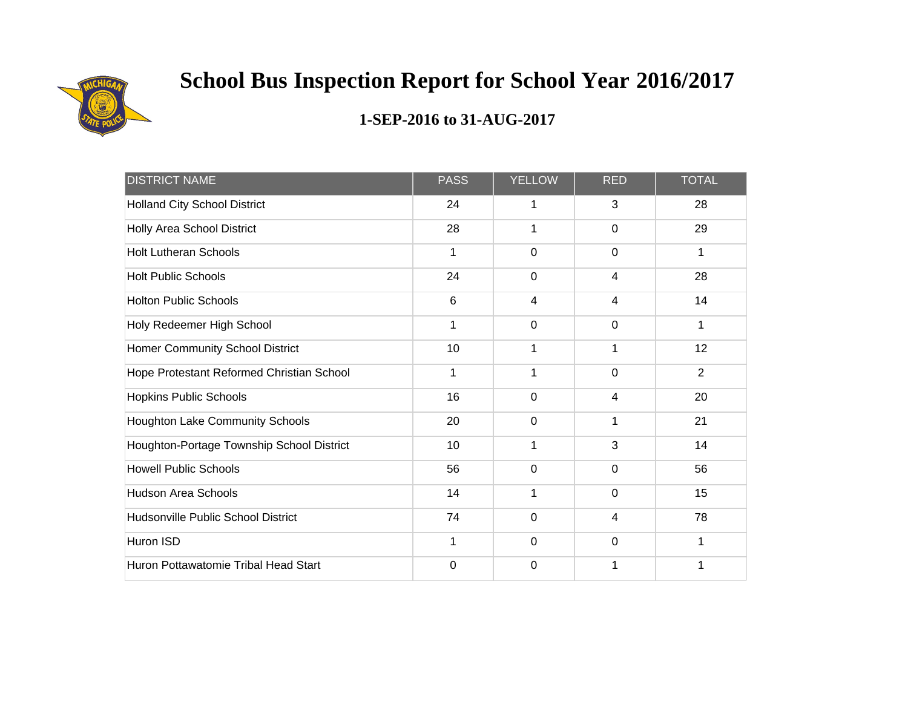

| <b>DISTRICT NAME</b>                      | <b>PASS</b> | <b>YELLOW</b>  | <b>RED</b>  | <b>TOTAL</b>   |
|-------------------------------------------|-------------|----------------|-------------|----------------|
| <b>Holland City School District</b>       | 24          | 1              | 3           | 28             |
| Holly Area School District                | 28          | 1              | $\mathbf 0$ | 29             |
| <b>Holt Lutheran Schools</b>              | 1           | 0              | 0           | 1              |
| <b>Holt Public Schools</b>                | 24          | 0              | 4           | 28             |
| <b>Holton Public Schools</b>              | 6           | 4              | 4           | 14             |
| Holy Redeemer High School                 | 1           | $\overline{0}$ | $\mathbf 0$ | 1              |
| Homer Community School District           | 10          | 1              | 1           | 12             |
| Hope Protestant Reformed Christian School | 1           | 1              | $\mathbf 0$ | $\overline{2}$ |
| <b>Hopkins Public Schools</b>             | 16          | 0              | 4           | 20             |
| Houghton Lake Community Schools           | 20          | 0              | 1           | 21             |
| Houghton-Portage Township School District | 10          | 1              | 3           | 14             |
| <b>Howell Public Schools</b>              | 56          | $\mathbf 0$    | $\Omega$    | 56             |
| <b>Hudson Area Schools</b>                | 14          | 1              | $\mathbf 0$ | 15             |
| Hudsonville Public School District        | 74          | 0              | 4           | 78             |
| Huron ISD                                 | 1           | $\mathbf 0$    | $\mathbf 0$ | 1              |
| Huron Pottawatomie Tribal Head Start      | $\mathbf 0$ | 0              |             | 1              |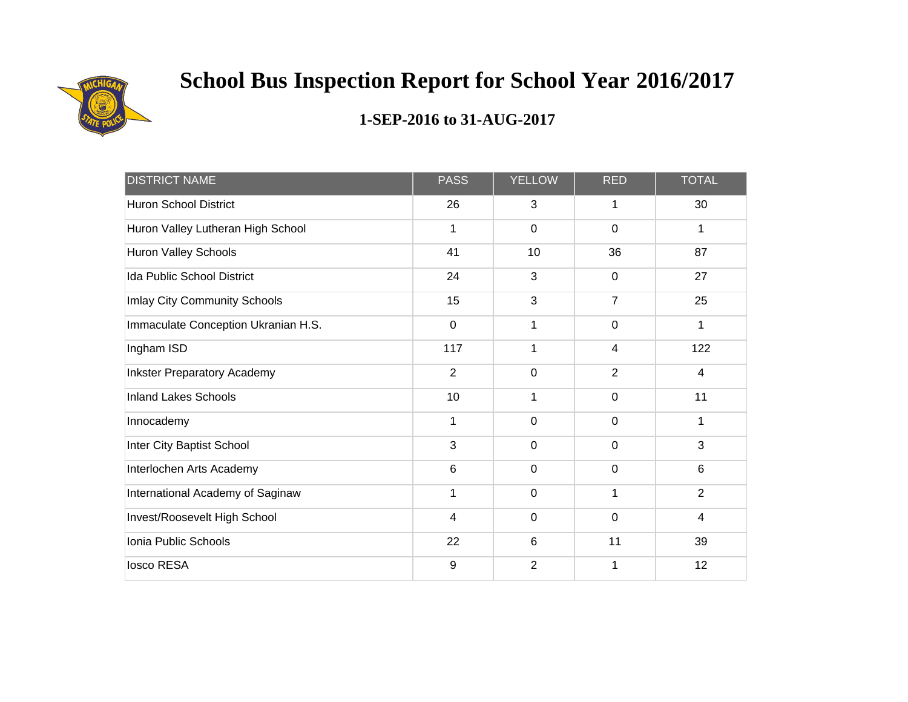

| <b>DISTRICT NAME</b>                | <b>PASS</b>             | <b>YELLOW</b>  | <b>RED</b>     | <b>TOTAL</b>   |
|-------------------------------------|-------------------------|----------------|----------------|----------------|
| <b>Huron School District</b>        | 26                      | 3              | 1              | 30             |
| Huron Valley Lutheran High School   | 1                       | $\mathbf 0$    | $\mathbf 0$    | 1              |
| Huron Valley Schools                | 41                      | 10             | 36             | 87             |
| Ida Public School District          | 24                      | 3              | $\mathbf 0$    | 27             |
| Imlay City Community Schools        | 15                      | 3              | $\overline{7}$ | 25             |
| Immaculate Conception Ukranian H.S. | $\mathbf 0$             | 1              | $\mathbf 0$    | $\mathbf{1}$   |
| Ingham ISD                          | 117                     | 1              | 4              | 122            |
| <b>Inkster Preparatory Academy</b>  | $\overline{2}$          | $\mathbf 0$    | $\overline{2}$ | $\overline{4}$ |
| <b>Inland Lakes Schools</b>         | 10                      | 1              | $\mathbf 0$    | 11             |
| Innocademy                          | 1                       | $\mathbf 0$    | 0              | 1              |
| Inter City Baptist School           | 3                       | $\mathbf 0$    | $\mathbf 0$    | 3              |
| Interlochen Arts Academy            | 6                       | $\mathbf 0$    | $\mathbf 0$    | $6\phantom{1}$ |
| International Academy of Saginaw    | 1                       | $\mathbf 0$    | 1              | $\overline{2}$ |
| Invest/Roosevelt High School        | $\overline{\mathbf{4}}$ | $\mathbf 0$    | $\mathbf 0$    | $\overline{4}$ |
| Ionia Public Schools                | 22                      | $6\phantom{1}$ | 11             | 39             |
| losco RESA                          | 9                       | $\overline{2}$ |                | 12             |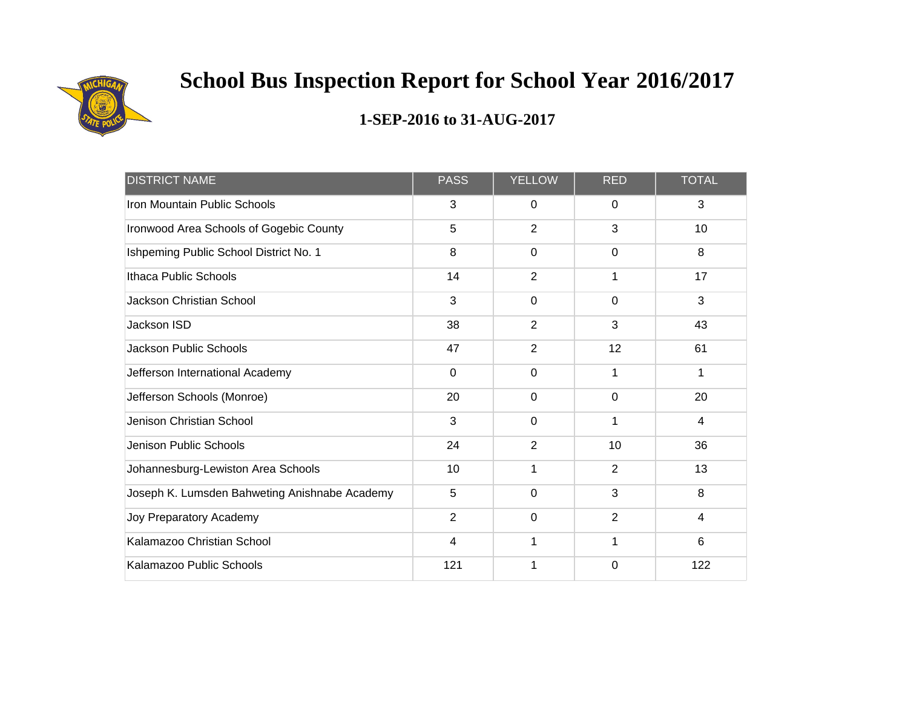

| <b>DISTRICT NAME</b>                          | <b>PASS</b>    | <b>YELLOW</b>  | <b>RED</b>     | <b>TOTAL</b> |
|-----------------------------------------------|----------------|----------------|----------------|--------------|
| Iron Mountain Public Schools                  | 3              | 0              | $\mathbf{0}$   | 3            |
| Ironwood Area Schools of Gogebic County       | 5              | $\overline{2}$ | 3              | 10           |
| Ishpeming Public School District No. 1        | 8              | $\mathbf 0$    | $\Omega$       | 8            |
| Ithaca Public Schools                         | 14             | $\overline{2}$ | 1              | 17           |
| <b>Jackson Christian School</b>               | 3              | $\mathbf 0$    | $\mathbf 0$    | 3            |
| Jackson ISD                                   | 38             | $\overline{2}$ | 3              | 43           |
| <b>Jackson Public Schools</b>                 | 47             | $\overline{2}$ | 12             | 61           |
| Jefferson International Academy               | $\mathbf 0$    | $\mathbf 0$    | 1              | 1            |
| Jefferson Schools (Monroe)                    | 20             | $\mathbf 0$    | $\mathbf 0$    | 20           |
| Jenison Christian School                      | 3              | $\Omega$       | 1              | 4            |
| Jenison Public Schools                        | 24             | $\overline{2}$ | 10             | 36           |
| Johannesburg-Lewiston Area Schools            | 10             | 1              | 2              | 13           |
| Joseph K. Lumsden Bahweting Anishnabe Academy | 5              | $\mathbf 0$    | 3              | 8            |
| Joy Preparatory Academy                       | $\overline{2}$ | $\mathbf 0$    | $\overline{2}$ | 4            |
| Kalamazoo Christian School                    | 4              | 1              | 1              | 6            |
| Kalamazoo Public Schools                      | 121            | 1              | 0              | 122          |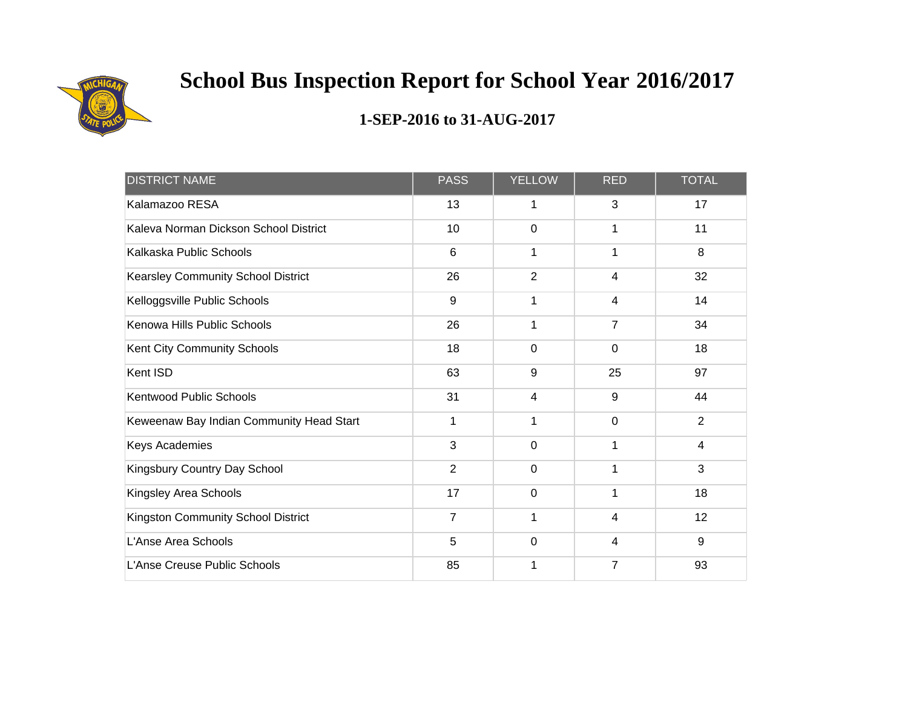

| <b>DISTRICT NAME</b>                     | <b>PASS</b>    | <b>YELLOW</b>  | <b>RED</b>     | <b>TOTAL</b>   |
|------------------------------------------|----------------|----------------|----------------|----------------|
| Kalamazoo RESA                           | 13             | 1              | 3              | 17             |
| Kaleva Norman Dickson School District    | 10             | $\mathbf 0$    | 1              | 11             |
| Kalkaska Public Schools                  | 6              | 1              | 1              | 8              |
| Kearsley Community School District       | 26             | $\overline{2}$ | 4              | 32             |
| Kelloggsville Public Schools             | 9              | 1              | 4              | 14             |
| Kenowa Hills Public Schools              | 26             | 1              | $\overline{7}$ | 34             |
| Kent City Community Schools              | 18             | $\mathbf 0$    | $\mathbf 0$    | 18             |
| Kent ISD                                 | 63             | 9              | 25             | 97             |
| <b>Kentwood Public Schools</b>           | 31             | 4              | 9              | 44             |
| Keweenaw Bay Indian Community Head Start | 1              | 1              | $\Omega$       | 2              |
| Keys Academies                           | 3              | $\mathbf 0$    | 1              | $\overline{4}$ |
| Kingsbury Country Day School             | $\overline{2}$ | $\mathbf 0$    | 1              | 3              |
| Kingsley Area Schools                    | 17             | 0              |                | 18             |
| Kingston Community School District       | $\overline{7}$ | 1              | 4              | 12             |
| L'Anse Area Schools                      | 5              | $\mathbf 0$    | 4              | 9              |
| L'Anse Creuse Public Schools             | 85             | 1              | 7              | 93             |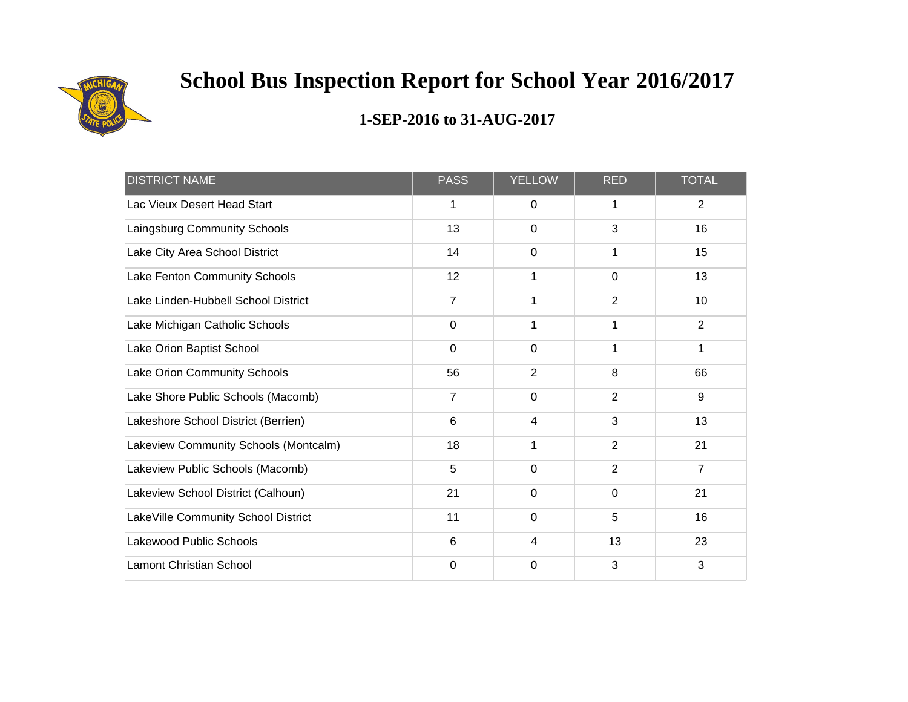

| <b>DISTRICT NAME</b>                  | <b>PASS</b>    | <b>YELLOW</b>  | <b>RED</b>     | <b>TOTAL</b>   |
|---------------------------------------|----------------|----------------|----------------|----------------|
| Lac Vieux Desert Head Start           | 1              | 0              | 1              | $\overline{2}$ |
| Laingsburg Community Schools          | 13             | $\mathbf 0$    | 3              | 16             |
| Lake City Area School District        | 14             | $\mathbf 0$    | 1              | 15             |
| Lake Fenton Community Schools         | 12             | 1              | $\mathbf 0$    | 13             |
| Lake Linden-Hubbell School District   | $\overline{7}$ | 1              | $\overline{2}$ | 10             |
| Lake Michigan Catholic Schools        | $\mathbf 0$    | 1              | 1              | $\overline{2}$ |
| Lake Orion Baptist School             | $\mathbf 0$    | $\mathbf 0$    | 1              | 1              |
| Lake Orion Community Schools          | 56             | $\overline{2}$ | 8              | 66             |
| Lake Shore Public Schools (Macomb)    | 7              | $\mathbf 0$    | $\overline{2}$ | $9\,$          |
| Lakeshore School District (Berrien)   | 6              | 4              | 3              | 13             |
| Lakeview Community Schools (Montcalm) | 18             | 1              | $\overline{2}$ | 21             |
| Lakeview Public Schools (Macomb)      | 5              | $\mathbf 0$    | $\overline{2}$ | $\overline{7}$ |
| Lakeview School District (Calhoun)    | 21             | $\mathbf 0$    | $\mathbf 0$    | 21             |
| LakeVille Community School District   | 11             | $\pmb{0}$      | 5              | 16             |
| Lakewood Public Schools               | 6              | 4              | 13             | 23             |
| <b>Lamont Christian School</b>        | 0              | 0              | 3              | 3              |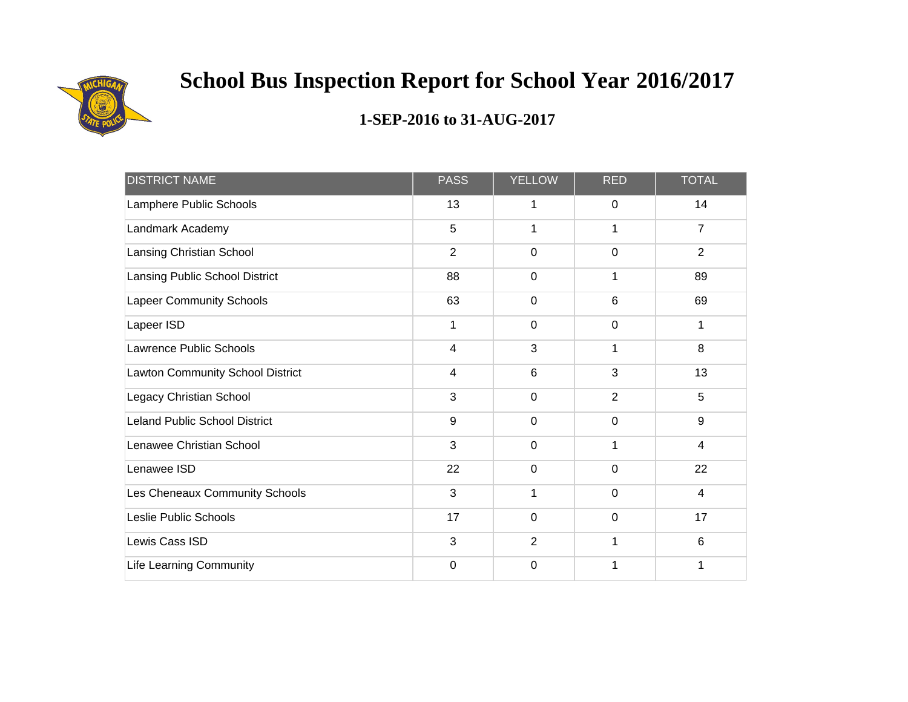

| <b>DISTRICT NAME</b>             | <b>PASS</b>    | YELLOW         | <b>RED</b>     | <b>TOTAL</b>    |
|----------------------------------|----------------|----------------|----------------|-----------------|
| Lamphere Public Schools          | 13             | 1              | 0              | 14              |
| Landmark Academy                 | 5              | 1              | 1              | $\overline{7}$  |
| Lansing Christian School         | $\overline{2}$ | $\mathbf 0$    | $\mathbf 0$    | $\overline{2}$  |
| Lansing Public School District   | 88             | $\mathbf 0$    |                | 89              |
| <b>Lapeer Community Schools</b>  | 63             | $\mathbf 0$    | 6              | 69              |
| Lapeer ISD                       | 1              | $\mathbf 0$    | $\mathbf 0$    | 1               |
| Lawrence Public Schools          | $\overline{4}$ | 3              | 1              | 8               |
| Lawton Community School District | 4              | $6\phantom{1}$ | 3              | 13              |
| Legacy Christian School          | 3              | $\pmb{0}$      | $\overline{2}$ | 5               |
| Leland Public School District    | 9              | $\mathbf 0$    | $\mathbf 0$    | 9               |
| Lenawee Christian School         | 3              | $\mathbf 0$    | 1              | $\overline{4}$  |
| Lenawee ISD                      | 22             | $\mathbf 0$    | $\mathbf 0$    | 22              |
| Les Cheneaux Community Schools   | 3              | 1              | $\mathbf 0$    | $\overline{4}$  |
| Leslie Public Schools            | 17             | $\mathbf 0$    | $\mathbf 0$    | 17              |
| Lewis Cass ISD                   | 3              | $\overline{2}$ | 1              | $6\phantom{1}6$ |
| <b>Life Learning Community</b>   | $\mathbf 0$    | $\mathbf 0$    |                | 1               |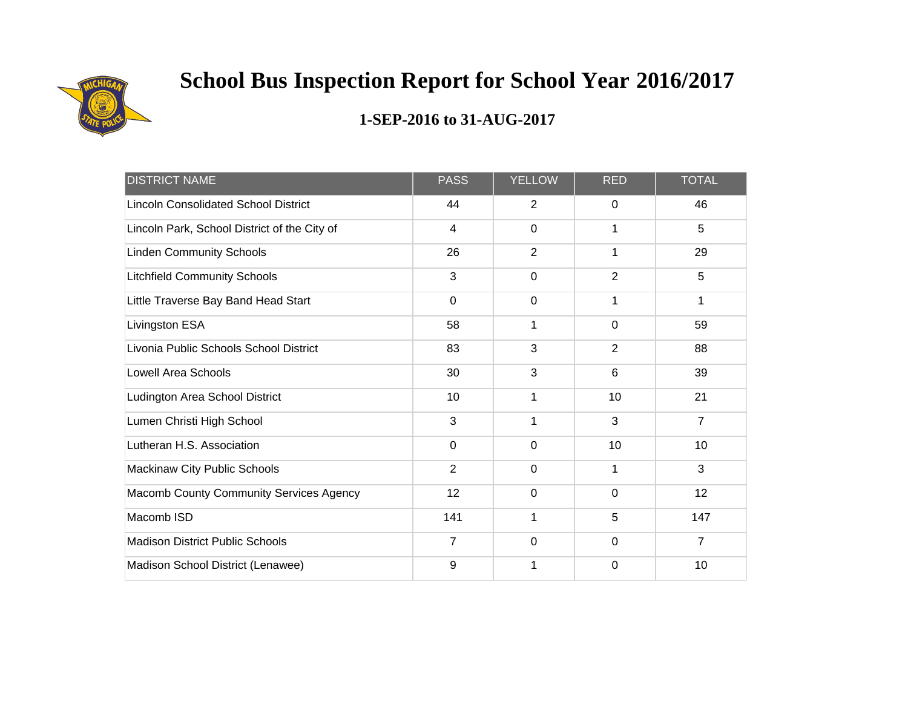

| <b>DISTRICT NAME</b>                         | <b>PASS</b>    | <b>YELLOW</b>  | <b>RED</b>     | <b>TOTAL</b>   |
|----------------------------------------------|----------------|----------------|----------------|----------------|
| <b>Lincoln Consolidated School District</b>  | 44             | 2              | $\Omega$       | 46             |
| Lincoln Park, School District of the City of | $\overline{4}$ | $\overline{0}$ | 1              | 5              |
| <b>Linden Community Schools</b>              | 26             | $\overline{2}$ | 1              | 29             |
| <b>Litchfield Community Schools</b>          | 3              | 0              | $\overline{2}$ | 5              |
| Little Traverse Bay Band Head Start          | 0              | $\mathbf 0$    | 1              | 1              |
| Livingston ESA                               | 58             | 1              | $\mathbf 0$    | 59             |
| Livonia Public Schools School District       | 83             | 3              | 2              | 88             |
| <b>Lowell Area Schools</b>                   | 30             | 3              | $6\phantom{1}$ | 39             |
| Ludington Area School District               | 10             | 1              | 10             | 21             |
| Lumen Christi High School                    | 3              | 1              | 3              | $\overline{7}$ |
| Lutheran H.S. Association                    | 0              | $\mathbf 0$    | 10             | 10             |
| Mackinaw City Public Schools                 | $\overline{2}$ | $\mathbf 0$    | 1              | 3              |
| Macomb County Community Services Agency      | 12             | 0              | $\mathbf 0$    | 12             |
| Macomb ISD                                   | 141            | 1              | 5              | 147            |
| <b>Madison District Public Schools</b>       | $\overline{7}$ | $\mathbf 0$    | $\mathbf 0$    | $\overline{7}$ |
| Madison School District (Lenawee)            | 9              | 1              | $\Omega$       | 10             |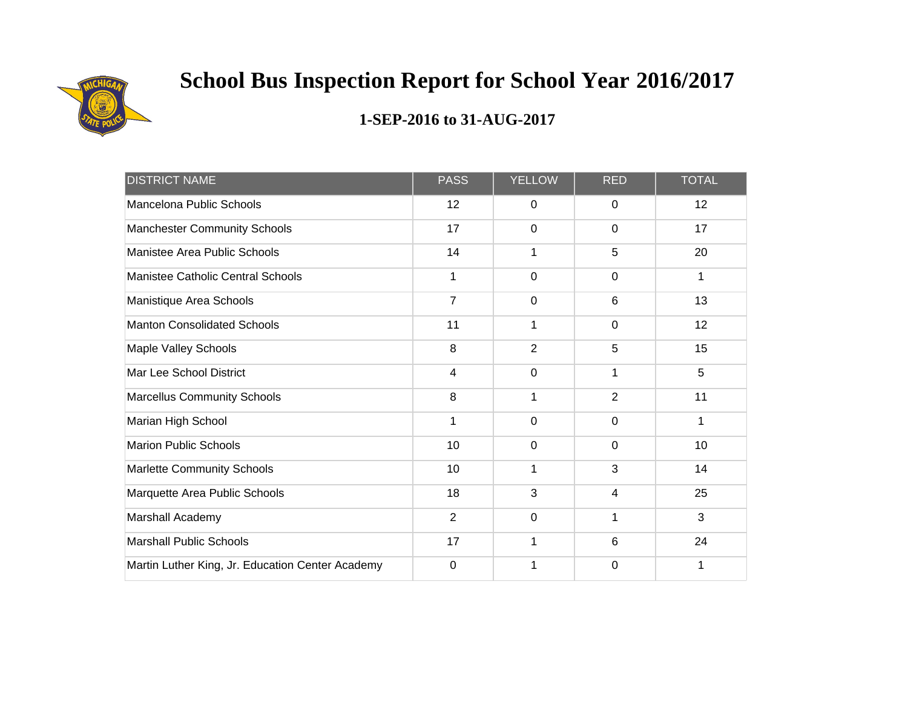

| <b>DISTRICT NAME</b>                             | <b>PASS</b>    | <b>YELLOW</b>  | <b>RED</b>     | <b>TOTAL</b> |
|--------------------------------------------------|----------------|----------------|----------------|--------------|
| Mancelona Public Schools                         | 12             | 0              | 0              | 12           |
| <b>Manchester Community Schools</b>              | 17             | $\mathbf 0$    | 0              | 17           |
| Manistee Area Public Schools                     | 14             | 1              | 5              | 20           |
| Manistee Catholic Central Schools                | 1              | $\mathbf 0$    | 0              | 1            |
| Manistique Area Schools                          | $\overline{7}$ | $\mathbf 0$    | 6              | 13           |
| <b>Manton Consolidated Schools</b>               | 11             | $\mathbf{1}$   | $\mathbf 0$    | 12           |
| Maple Valley Schools                             | 8              | $\overline{2}$ | 5              | 15           |
| Mar Lee School District                          | $\overline{4}$ | $\mathbf 0$    | 1              | 5            |
| <b>Marcellus Community Schools</b>               | 8              | 1              | $\overline{2}$ | 11           |
| Marian High School                               | 1              | $\mathbf 0$    | 0              | 1            |
| <b>Marion Public Schools</b>                     | 10             | $\mathbf 0$    | $\mathbf 0$    | 10           |
| <b>Marlette Community Schools</b>                | 10             | $\mathbf{1}$   | 3              | 14           |
| Marquette Area Public Schools                    | 18             | 3              | 4              | 25           |
| Marshall Academy                                 | $\overline{2}$ | $\mathbf 0$    | 1              | 3            |
| <b>Marshall Public Schools</b>                   | 17             | 1              | 6              | 24           |
| Martin Luther King, Jr. Education Center Academy | $\Omega$       | 1              | 0              | 1            |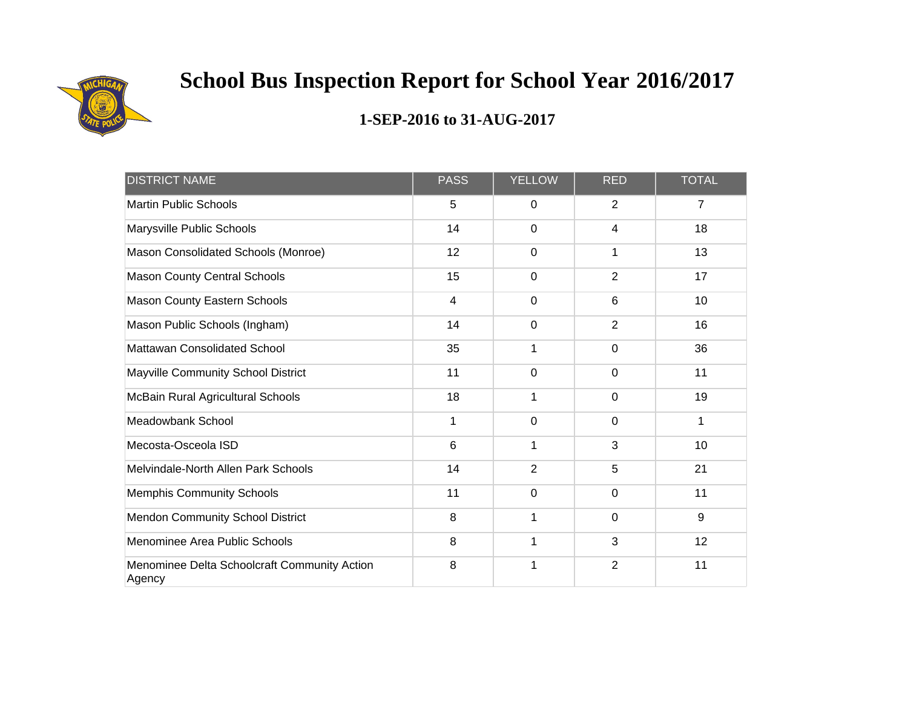

| <b>DISTRICT NAME</b>                                   | <b>PASS</b>             | <b>YELLOW</b>  | <b>RED</b>     | <b>TOTAL</b>   |
|--------------------------------------------------------|-------------------------|----------------|----------------|----------------|
| <b>Martin Public Schools</b>                           | 5                       | 0              | $\overline{2}$ | $\overline{7}$ |
| Marysville Public Schools                              | 14                      | $\overline{0}$ | 4              | 18             |
| Mason Consolidated Schools (Monroe)                    | 12                      | $\mathbf 0$    | 1              | 13             |
| <b>Mason County Central Schools</b>                    | 15                      | $\mathbf 0$    | $\overline{2}$ | 17             |
| Mason County Eastern Schools                           | $\overline{\mathbf{4}}$ | 0              | $6\phantom{1}$ | 10             |
| Mason Public Schools (Ingham)                          | 14                      | 0              | $\overline{2}$ | 16             |
| Mattawan Consolidated School                           | 35                      | 1              | $\mathbf 0$    | 36             |
| Mayville Community School District                     | 11                      | $\mathbf 0$    | $\mathbf 0$    | 11             |
| McBain Rural Agricultural Schools                      | 18                      | 1              | $\mathbf 0$    | 19             |
| Meadowbank School                                      | 1                       | 0              | $\mathbf 0$    | 1              |
| Mecosta-Osceola ISD                                    | 6                       | 1              | 3              | 10             |
| Melvindale-North Allen Park Schools                    | 14                      | $\overline{2}$ | 5              | 21             |
| <b>Memphis Community Schools</b>                       | 11                      | 0              | $\mathbf 0$    | 11             |
| Mendon Community School District                       | 8                       | 1              | $\mathbf 0$    | 9              |
| Menominee Area Public Schools                          | 8                       | 1              | 3              | 12             |
| Menominee Delta Schoolcraft Community Action<br>Agency | 8                       | 1              | $\overline{2}$ | 11             |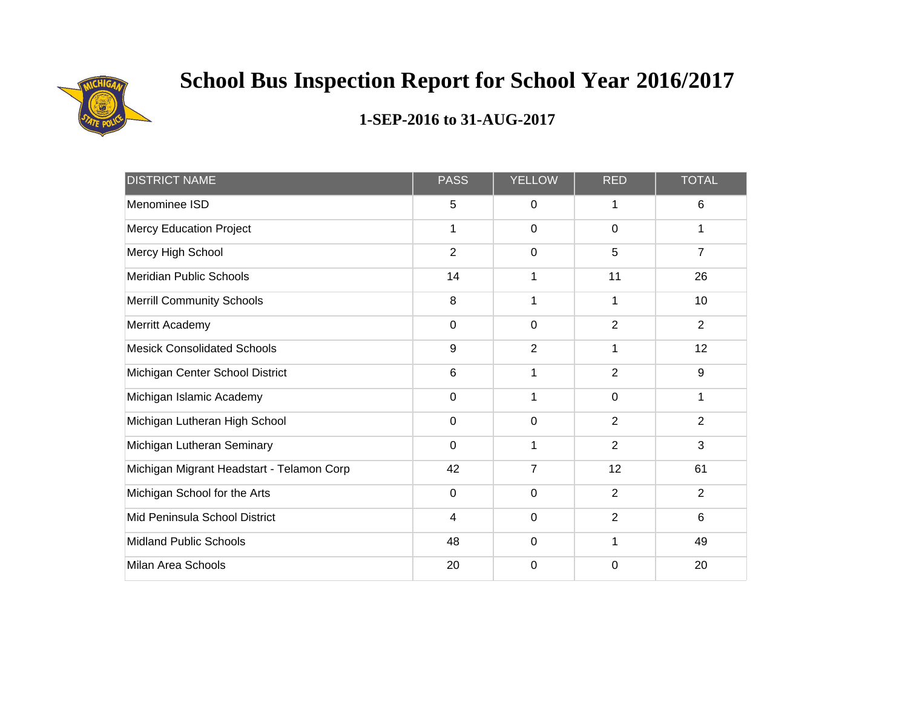

| <b>DISTRICT NAME</b>                      | <b>PASS</b>    | <b>YELLOW</b>  | <b>RED</b>     | <b>TOTAL</b>   |
|-------------------------------------------|----------------|----------------|----------------|----------------|
| Menominee ISD                             | 5              | 0              | 1              | 6              |
| <b>Mercy Education Project</b>            | 1              | $\mathbf 0$    | $\mathbf 0$    | 1              |
| Mercy High School                         | $\overline{2}$ | $\mathbf 0$    | 5              | 7              |
| <b>Meridian Public Schools</b>            | 14             | 1              | 11             | 26             |
| <b>Merrill Community Schools</b>          | 8              | 1              | 1              | 10             |
| Merritt Academy                           | $\mathbf 0$    | $\mathbf 0$    | $\overline{2}$ | $\overline{2}$ |
| <b>Mesick Consolidated Schools</b>        | 9              | $\overline{2}$ | 1              | 12             |
| Michigan Center School District           | 6              | 1              | $\overline{2}$ | 9              |
| Michigan Islamic Academy                  | $\mathbf 0$    | 1              | $\mathbf 0$    | 1              |
| Michigan Lutheran High School             | 0              | 0              | $\overline{2}$ | 2              |
| Michigan Lutheran Seminary                | $\mathbf 0$    | 1              | $\overline{2}$ | 3              |
| Michigan Migrant Headstart - Telamon Corp | 42             | $\overline{7}$ | 12             | 61             |
| Michigan School for the Arts              | $\mathbf 0$    | $\mathbf 0$    | $\overline{2}$ | $\overline{2}$ |
| Mid Peninsula School District             | 4              | $\mathbf 0$    | $\overline{2}$ | 6              |
| <b>Midland Public Schools</b>             | 48             | $\mathbf 0$    | 1              | 49             |
| <b>Milan Area Schools</b>                 | 20             | $\mathbf 0$    | $\Omega$       | 20             |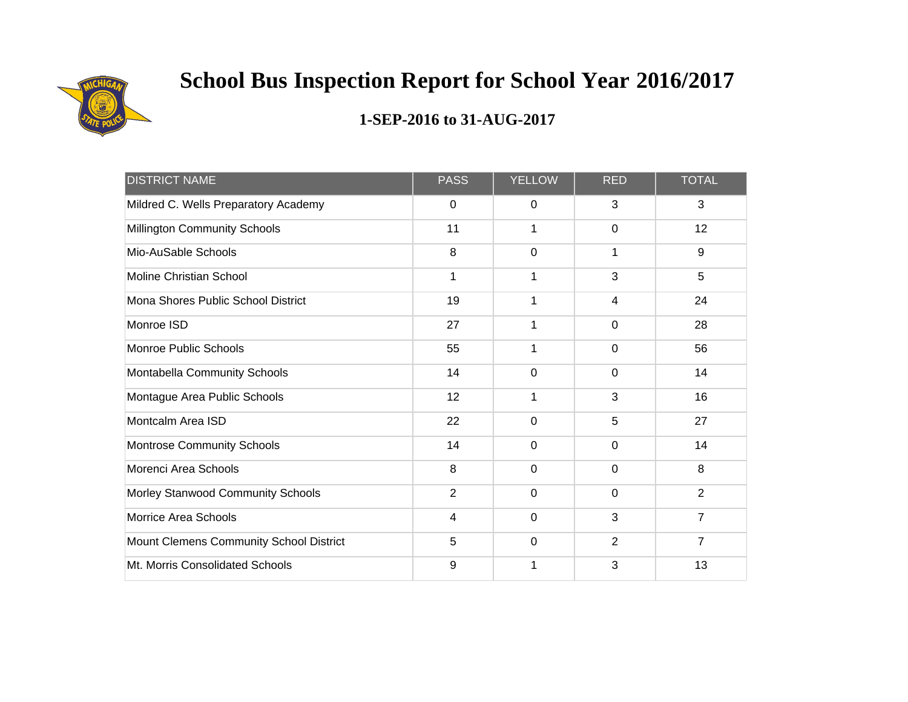

| <b>DISTRICT NAME</b>                    | <b>PASS</b>    | <b>YELLOW</b> | <b>RED</b>     | <b>TOTAL</b>   |
|-----------------------------------------|----------------|---------------|----------------|----------------|
| Mildred C. Wells Preparatory Academy    | 0              | 0             | 3              | 3              |
| <b>Millington Community Schools</b>     | 11             | 1             | $\Omega$       | 12             |
| Mio-AuSable Schools                     | 8              | 0             | 1              | $9\,$          |
| <b>Moline Christian School</b>          | 1              | 1             | 3              | 5              |
| Mona Shores Public School District      | 19             | 1             | 4              | 24             |
| Monroe ISD                              | 27             | 1             | $\mathbf 0$    | 28             |
| <b>Monroe Public Schools</b>            | 55             | 1             | $\mathbf 0$    | 56             |
| Montabella Community Schools            | 14             | 0             | $\mathbf 0$    | 14             |
| Montague Area Public Schools            | 12             | 1             | 3              | 16             |
| Montcalm Area ISD                       | 22             | 0             | 5              | 27             |
| <b>Montrose Community Schools</b>       | 14             | 0             | $\mathbf 0$    | 14             |
| Morenci Area Schools                    | 8              | 0             | $\mathbf 0$    | 8              |
| Morley Stanwood Community Schools       | $\overline{2}$ | 0             | $\mathbf 0$    | $\overline{2}$ |
| <b>Morrice Area Schools</b>             | $\overline{4}$ | $\mathbf 0$   | 3              | $\overline{7}$ |
| Mount Clemens Community School District | 5              | 0             | $\overline{2}$ | $\overline{7}$ |
| Mt. Morris Consolidated Schools         | 9              | 1             | 3              | 13             |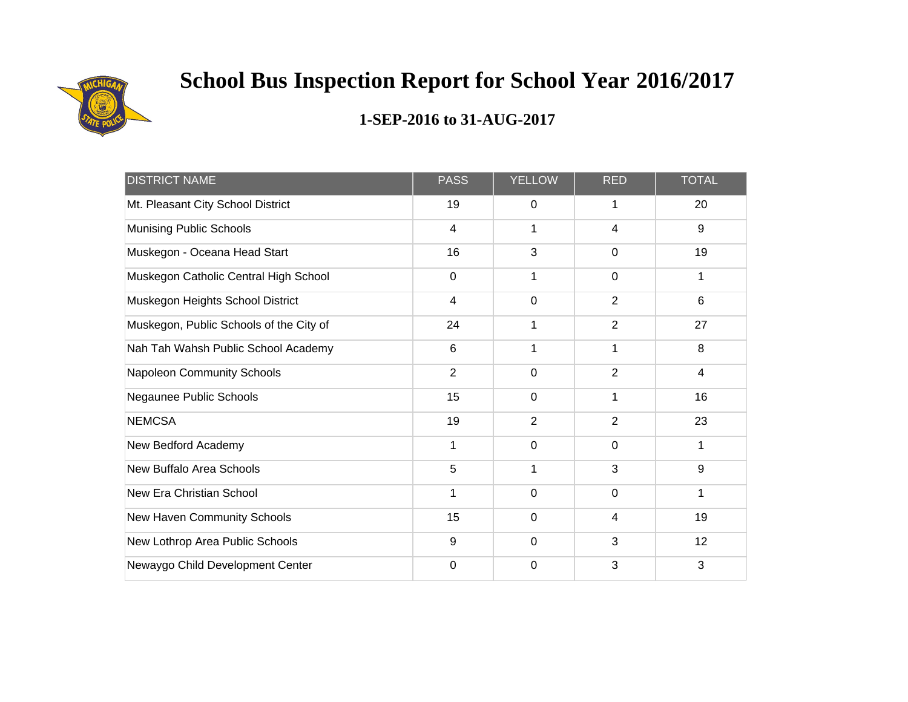

| <b>DISTRICT NAME</b>                    | <b>PASS</b>             | <b>YELLOW</b>  | <b>RED</b>     | <b>TOTAL</b>   |
|-----------------------------------------|-------------------------|----------------|----------------|----------------|
| Mt. Pleasant City School District       | 19                      | 0              | 1              | 20             |
| <b>Munising Public Schools</b>          | $\overline{\mathbf{4}}$ | 1              | 4              | $9\,$          |
| Muskegon - Oceana Head Start            | 16                      | 3              | $\Omega$       | 19             |
| Muskegon Catholic Central High School   | $\mathbf 0$             | 1              | $\mathbf 0$    | 1              |
| Muskegon Heights School District        | $\overline{\mathbf{4}}$ | $\mathbf 0$    | $\overline{2}$ | $6\phantom{1}$ |
| Muskegon, Public Schools of the City of | 24                      | 1              | $\overline{2}$ | 27             |
| Nah Tah Wahsh Public School Academy     | 6                       | 1              | 1              | 8              |
| <b>Napoleon Community Schools</b>       | $\overline{2}$          | $\mathbf 0$    | $\overline{2}$ | 4              |
| Negaunee Public Schools                 | 15                      | $\mathbf 0$    |                | 16             |
| <b>NEMCSA</b>                           | 19                      | $\overline{2}$ | 2              | 23             |
| New Bedford Academy                     | $\mathbf{1}$            | $\mathbf 0$    | $\mathbf 0$    | 1              |
| New Buffalo Area Schools                | 5                       | 1              | 3              | $9\,$          |
| New Era Christian School                | 1                       | $\mathbf 0$    | $\mathbf 0$    | 1              |
| New Haven Community Schools             | 15                      | $\mathbf 0$    | 4              | 19             |
| New Lothrop Area Public Schools         | 9                       | $\mathbf 0$    | 3              | 12             |
| Newaygo Child Development Center        | 0                       | 0              | 3              | 3              |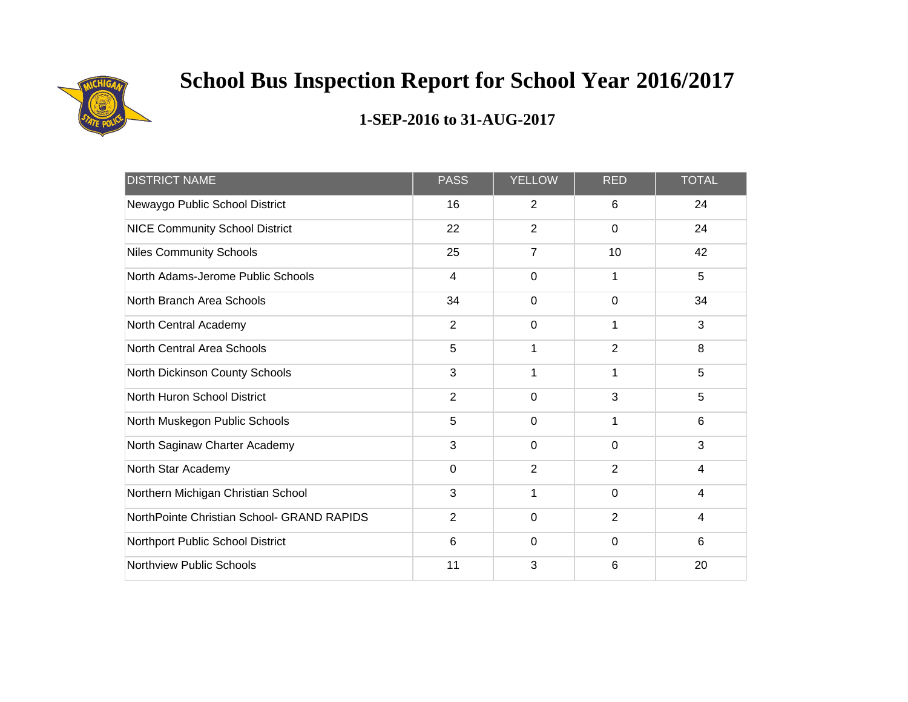

| <b>DISTRICT NAME</b>                       | <b>PASS</b>             | <b>YELLOW</b>  | <b>RED</b>     | <b>TOTAL</b>            |
|--------------------------------------------|-------------------------|----------------|----------------|-------------------------|
| Newaygo Public School District             | 16                      | 2              | 6              | 24                      |
| <b>NICE Community School District</b>      | 22                      | $\overline{2}$ | $\Omega$       | 24                      |
| <b>Niles Community Schools</b>             | 25                      | $\overline{7}$ | 10             | 42                      |
| North Adams-Jerome Public Schools          | $\overline{\mathbf{4}}$ | 0              |                | 5                       |
| North Branch Area Schools                  | 34                      | 0              | 0              | 34                      |
| North Central Academy                      | $\overline{2}$          | $\mathbf 0$    | 1              | 3                       |
| North Central Area Schools                 | 5                       | 1              | $\overline{2}$ | 8                       |
| North Dickinson County Schools             | 3                       | 1              | $\mathbf{1}$   | 5                       |
| North Huron School District                | $\overline{2}$          | 0              | 3              | 5                       |
| North Muskegon Public Schools              | 5                       | $\Omega$       | 1              | 6                       |
| North Saginaw Charter Academy              | 3                       | $\mathbf 0$    | $\mathbf 0$    | 3                       |
| North Star Academy                         | $\Omega$                | $\overline{2}$ | 2              | $\overline{4}$          |
| Northern Michigan Christian School         | 3                       | 1              | $\mathbf 0$    | $\overline{\mathbf{4}}$ |
| NorthPointe Christian School- GRAND RAPIDS | $\overline{2}$          | $\mathbf 0$    | $\overline{2}$ | 4                       |
| Northport Public School District           | 6                       | $\mathbf 0$    | $\mathbf 0$    | $6\phantom{1}$          |
| <b>Northview Public Schools</b>            | 11                      | 3              | 6              | 20                      |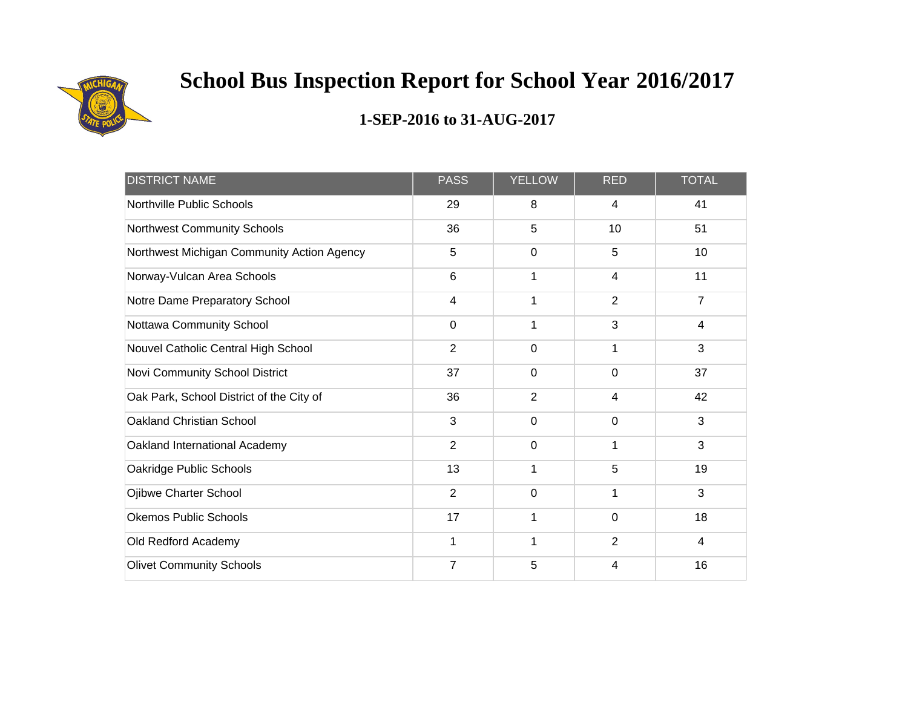

| <b>DISTRICT NAME</b>                       | <b>PASS</b>    | <b>YELLOW</b>  | <b>RED</b>     | <b>TOTAL</b>   |
|--------------------------------------------|----------------|----------------|----------------|----------------|
| Northville Public Schools                  | 29             | 8              | 4              | 41             |
| <b>Northwest Community Schools</b>         | 36             | 5              | 10             | 51             |
| Northwest Michigan Community Action Agency | 5              | 0              | 5              | 10             |
| Norway-Vulcan Area Schools                 | 6              | 1              | 4              | 11             |
| Notre Dame Preparatory School              | 4              | 1              | $\overline{2}$ | $\overline{7}$ |
| Nottawa Community School                   | $\mathbf 0$    | 1              | 3              | 4              |
| Nouvel Catholic Central High School        | $\overline{2}$ | $\overline{0}$ | 1              | 3              |
| Novi Community School District             | 37             | 0              | $\mathbf 0$    | 37             |
| Oak Park, School District of the City of   | 36             | $\overline{2}$ | 4              | 42             |
| Oakland Christian School                   | 3              | 0              | 0              | 3              |
| Oakland International Academy              | $\overline{2}$ | $\mathbf 0$    | 1              | 3              |
| Oakridge Public Schools                    | 13             | 1              | 5              | 19             |
| Ojibwe Charter School                      | $\overline{2}$ | 0              | 1              | 3              |
| <b>Okemos Public Schools</b>               | 17             | 1              | $\mathbf 0$    | 18             |
| Old Redford Academy                        | 1              | 1              | $\overline{2}$ | 4              |
| <b>Olivet Community Schools</b>            | $\overline{7}$ | 5              | 4              | 16             |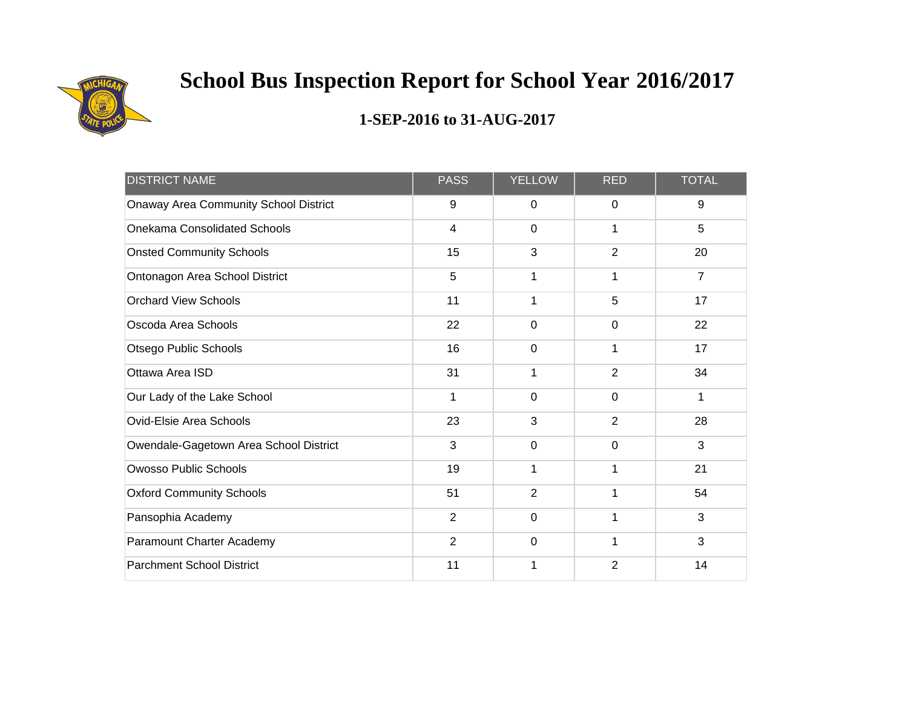

| <b>DISTRICT NAME</b>                   | <b>PASS</b>    | <b>YELLOW</b>  | <b>RED</b>     | <b>TOTAL</b>   |
|----------------------------------------|----------------|----------------|----------------|----------------|
| Onaway Area Community School District  | 9              | 0              | $\mathbf 0$    | 9              |
| <b>Onekama Consolidated Schools</b>    | $\overline{4}$ | $\mathbf 0$    |                | 5              |
| <b>Onsted Community Schools</b>        | 15             | 3              | $\overline{2}$ | 20             |
| Ontonagon Area School District         | 5              | 1              |                | $\overline{7}$ |
| <b>Orchard View Schools</b>            | 11             | 1              | 5              | 17             |
| Oscoda Area Schools                    | 22             | $\mathbf 0$    | $\mathbf 0$    | 22             |
| Otsego Public Schools                  | 16             | $\mathbf 0$    | 1              | 17             |
| Ottawa Area ISD                        | 31             | 1              | $\overline{2}$ | 34             |
| Our Lady of the Lake School            | 1              | $\mathbf 0$    | $\mathbf 0$    | 1              |
| Ovid-Elsie Area Schools                | 23             | 3              | $\overline{2}$ | 28             |
| Owendale-Gagetown Area School District | 3              | $\mathbf 0$    | $\mathbf 0$    | 3              |
| <b>Owosso Public Schools</b>           | 19             | 1              | 1              | 21             |
| <b>Oxford Community Schools</b>        | 51             | $\overline{2}$ | 1              | 54             |
| Pansophia Academy                      | $\overline{2}$ | $\mathbf 0$    |                | 3              |
| Paramount Charter Academy              | 2              | $\mathbf 0$    | 1              | 3              |
| <b>Parchment School District</b>       | 11             | 1              | $\overline{2}$ | 14             |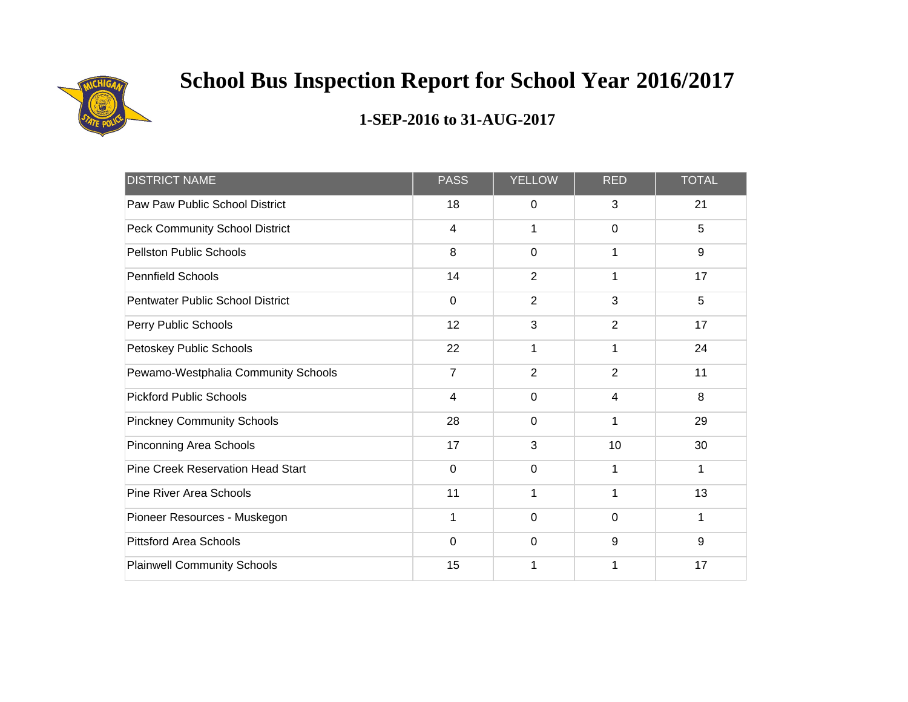

| <b>DISTRICT NAME</b>                     | <b>PASS</b>    | <b>YELLOW</b>  | <b>RED</b>     | <b>TOTAL</b> |
|------------------------------------------|----------------|----------------|----------------|--------------|
| Paw Paw Public School District           | 18             | 0              | 3              | 21           |
| <b>Peck Community School District</b>    | $\overline{4}$ | 1              | $\mathbf 0$    | 5            |
| <b>Pellston Public Schools</b>           | 8              | 0              | 1              | $9\,$        |
| <b>Pennfield Schools</b>                 | 14             | $\overline{2}$ |                | 17           |
| Pentwater Public School District         | $\mathbf 0$    | $\overline{2}$ | 3              | 5            |
| Perry Public Schools                     | 12             | 3              | $\overline{2}$ | 17           |
| Petoskey Public Schools                  | 22             | 1              | 1              | 24           |
| Pewamo-Westphalia Community Schools      | $\overline{7}$ | $\overline{2}$ | $\overline{2}$ | 11           |
| <b>Pickford Public Schools</b>           | 4              | 0              | 4              | 8            |
| <b>Pinckney Community Schools</b>        | 28             | 0              | 1              | 29           |
| Pinconning Area Schools                  | 17             | 3              | 10             | 30           |
| <b>Pine Creek Reservation Head Start</b> | $\Omega$       | $\mathbf 0$    | 1              | 1            |
| <b>Pine River Area Schools</b>           | 11             | 1              | 1              | 13           |
| Pioneer Resources - Muskegon             | 1              | $\mathbf 0$    | $\mathbf 0$    | 1            |
| <b>Pittsford Area Schools</b>            | 0              | $\mathbf 0$    | 9              | 9            |
| <b>Plainwell Community Schools</b>       | 15             | 1              |                | 17           |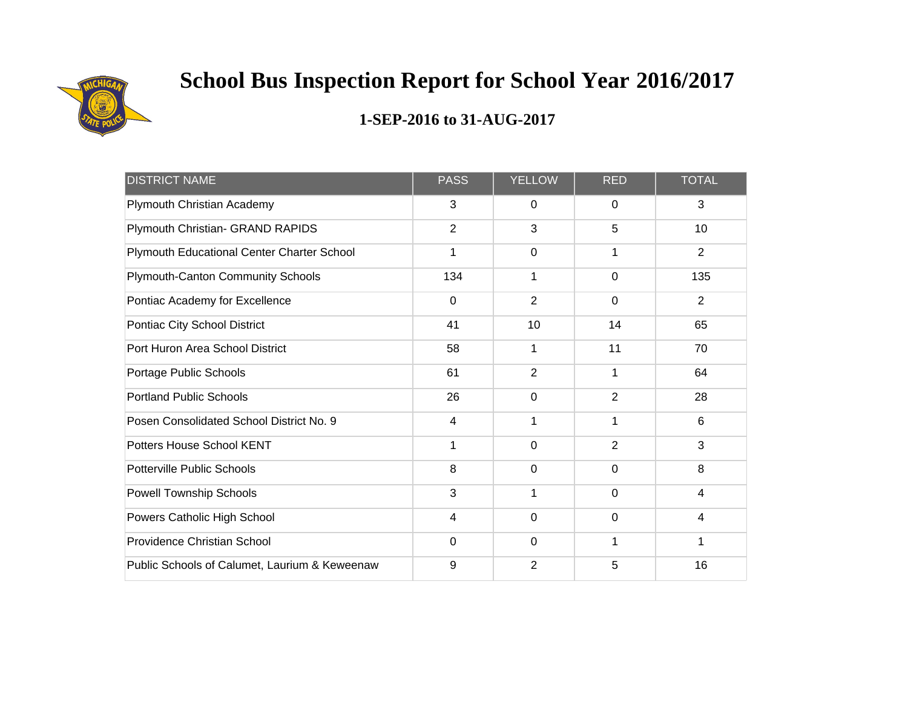

| <b>DISTRICT NAME</b>                          | <b>PASS</b>    | <b>YELLOW</b>  | <b>RED</b>     | <b>TOTAL</b>            |
|-----------------------------------------------|----------------|----------------|----------------|-------------------------|
| Plymouth Christian Academy                    | 3              | 0              | $\Omega$       | 3                       |
| Plymouth Christian- GRAND RAPIDS              | $\overline{2}$ | 3              | 5              | 10                      |
| Plymouth Educational Center Charter School    | 1              | 0              | 1              | $\overline{2}$          |
| <b>Plymouth-Canton Community Schools</b>      | 134            | 1              | $\overline{0}$ | 135                     |
| Pontiac Academy for Excellence                | $\mathbf 0$    | $\overline{2}$ | $\mathbf 0$    | $\overline{2}$          |
| Pontiac City School District                  | 41             | 10             | 14             | 65                      |
| Port Huron Area School District               | 58             | 1              | 11             | 70                      |
| Portage Public Schools                        | 61             | $\overline{2}$ | 1              | 64                      |
| <b>Portland Public Schools</b>                | 26             | $\Omega$       | $\overline{2}$ | 28                      |
| Posen Consolidated School District No. 9      | $\overline{4}$ | 1              | 1              | 6                       |
| Potters House School KENT                     | 1              | $\mathbf 0$    | $\overline{2}$ | 3                       |
| <b>Potterville Public Schools</b>             | 8              | $\mathbf 0$    | $\mathbf 0$    | 8                       |
| Powell Township Schools                       | 3              | 1              | $\overline{0}$ | $\overline{\mathbf{4}}$ |
| Powers Catholic High School                   | $\overline{4}$ | $\mathbf 0$    | $\mathbf 0$    | 4                       |
| <b>Providence Christian School</b>            | 0              | $\mathbf 0$    | 1              | 1                       |
| Public Schools of Calumet, Laurium & Keweenaw | 9              | $\overline{2}$ | 5              | 16                      |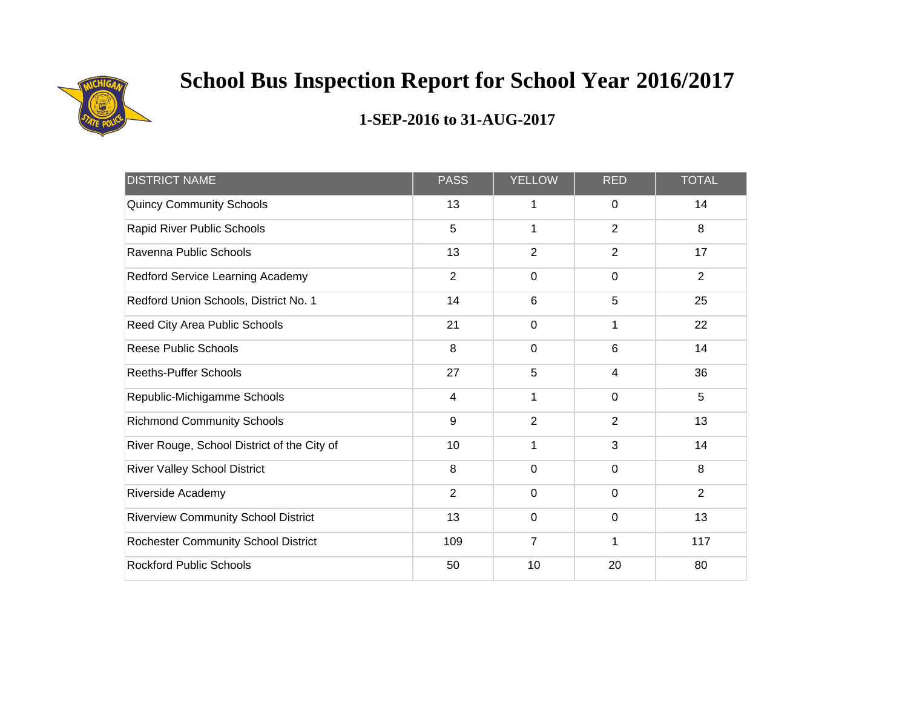

| <b>DISTRICT NAME</b>                        | <b>PASS</b>    | <b>YELLOW</b>  | <b>RED</b>     | <b>TOTAL</b>   |
|---------------------------------------------|----------------|----------------|----------------|----------------|
| <b>Quincy Community Schools</b>             | 13             | 1              | 0              | 14             |
| Rapid River Public Schools                  | 5              | 1              | $\overline{2}$ | 8              |
| Ravenna Public Schools                      | 13             | $\overline{2}$ | 2              | 17             |
| Redford Service Learning Academy            | $\overline{2}$ | $\mathbf 0$    | $\mathbf 0$    | $\overline{2}$ |
| Redford Union Schools, District No. 1       | 14             | $6\phantom{1}$ | 5              | 25             |
| Reed City Area Public Schools               | 21             | $\mathbf 0$    | 1              | 22             |
| <b>Reese Public Schools</b>                 | 8              | $\mathbf 0$    | $6\phantom{1}$ | 14             |
| <b>Reeths-Puffer Schools</b>                | 27             | 5              | 4              | 36             |
| Republic-Michigamme Schools                 | $\overline{4}$ | 1              | $\mathbf 0$    | 5              |
| <b>Richmond Community Schools</b>           | 9              | $\overline{2}$ | 2              | 13             |
| River Rouge, School District of the City of | 10             | 1              | 3              | 14             |
| <b>River Valley School District</b>         | 8              | $\mathbf 0$    | $\mathbf 0$    | 8              |
| Riverside Academy                           | $\overline{2}$ | $\mathbf 0$    | $\mathbf{0}$   | $\overline{2}$ |
| <b>Riverview Community School District</b>  | 13             | $\mathbf 0$    | $\mathbf 0$    | 13             |
| Rochester Community School District         | 109            | $\overline{7}$ | 1              | 117            |
| <b>Rockford Public Schools</b>              | 50             | 10             | 20             | 80             |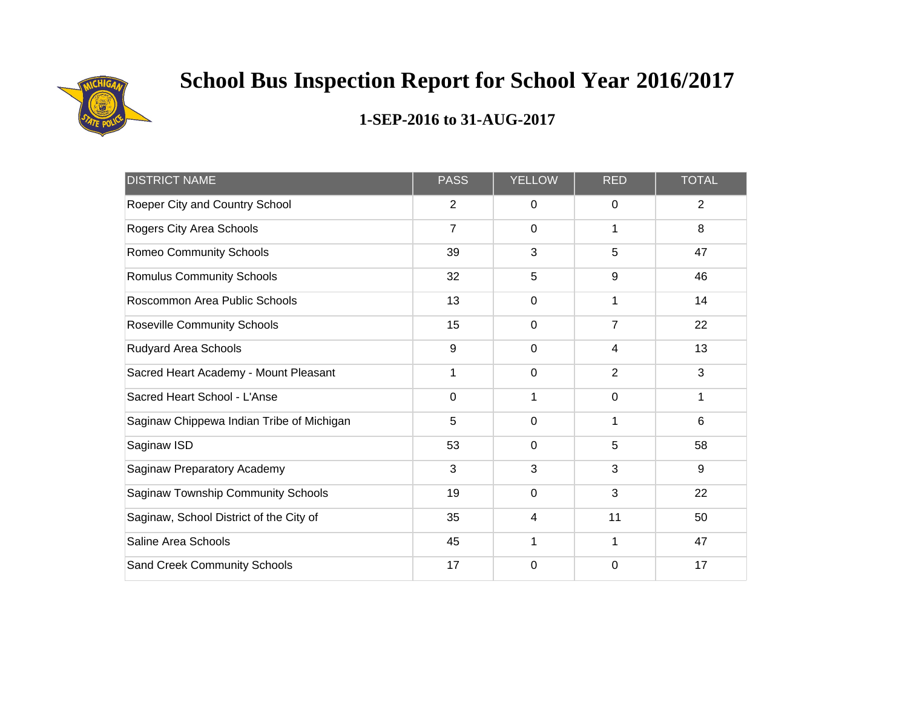

| <b>DISTRICT NAME</b>                      | <b>PASS</b>    | <b>YELLOW</b>  | <b>RED</b>     | <b>TOTAL</b>   |
|-------------------------------------------|----------------|----------------|----------------|----------------|
| Roeper City and Country School            | $\overline{2}$ | $\mathbf 0$    | $\mathbf 0$    | $\overline{2}$ |
| Rogers City Area Schools                  | $\overline{7}$ | $\mathbf 0$    | 1              | 8              |
| <b>Romeo Community Schools</b>            | 39             | 3              | 5              | 47             |
| <b>Romulus Community Schools</b>          | 32             | 5              | 9              | 46             |
| Roscommon Area Public Schools             | 13             | $\Omega$       | 1              | 14             |
| <b>Roseville Community Schools</b>        | 15             | $\overline{0}$ | $\overline{7}$ | 22             |
| Rudyard Area Schools                      | 9              | $\mathbf 0$    | 4              | 13             |
| Sacred Heart Academy - Mount Pleasant     | 1              | $\overline{0}$ | $\overline{2}$ | 3              |
| Sacred Heart School - L'Anse              | $\mathbf 0$    | 1              | $\mathbf 0$    | 1              |
| Saginaw Chippewa Indian Tribe of Michigan | 5              | $\mathbf 0$    | 1              | 6              |
| Saginaw ISD                               | 53             | $\mathbf 0$    | 5              | 58             |
| Saginaw Preparatory Academy               | 3              | 3              | 3              | 9              |
| Saginaw Township Community Schools        | 19             | $\mathbf 0$    | 3              | 22             |
| Saginaw, School District of the City of   | 35             | 4              | 11             | 50             |
| Saline Area Schools                       | 45             | 1              | 1              | 47             |
| <b>Sand Creek Community Schools</b>       | 17             | 0              | $\mathbf 0$    | 17             |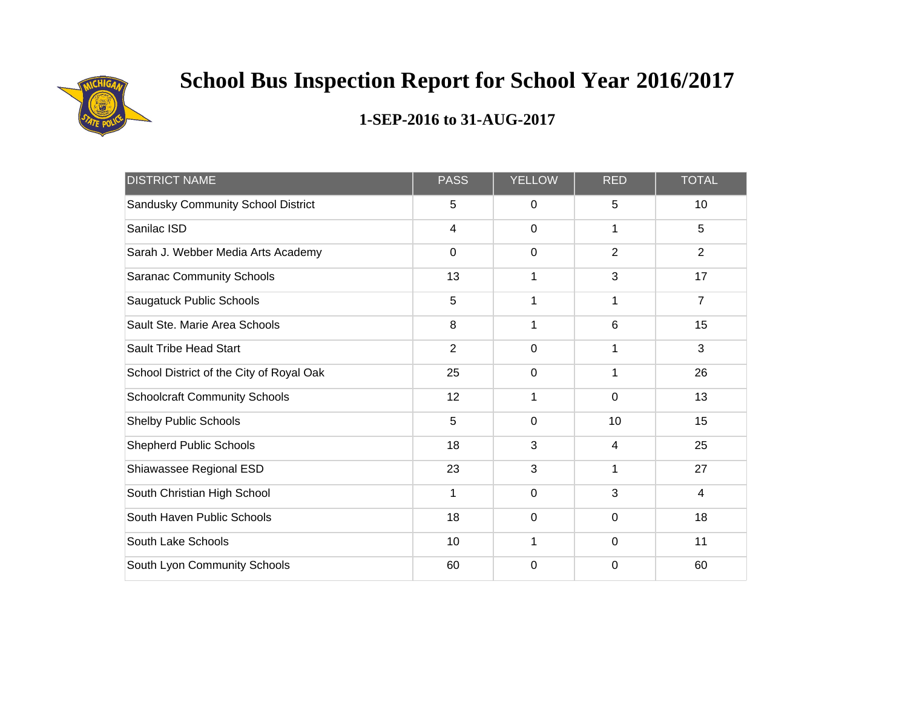

| <b>DISTRICT NAME</b>                     | <b>PASS</b>             | <b>YELLOW</b>  | <b>RED</b>     | <b>TOTAL</b>    |
|------------------------------------------|-------------------------|----------------|----------------|-----------------|
| Sandusky Community School District       | 5                       | $\mathbf 0$    | 5              | 10 <sup>1</sup> |
| Sanilac ISD                              | $\overline{\mathbf{4}}$ | $\mathbf 0$    | 1              | 5               |
| Sarah J. Webber Media Arts Academy       | $\mathbf 0$             | $\mathbf 0$    | $\overline{2}$ | $\overline{2}$  |
| <b>Saranac Community Schools</b>         | 13                      | 1              | 3              | 17              |
| Saugatuck Public Schools                 | 5                       | 1              | 1              | $\overline{7}$  |
| Sault Ste. Marie Area Schools            | 8                       | 1              | $6\phantom{1}$ | 15              |
| <b>Sault Tribe Head Start</b>            | $\overline{2}$          | $\mathbf 0$    | 1              | $\mathfrak{S}$  |
| School District of the City of Royal Oak | 25                      | $\overline{0}$ | 1              | 26              |
| <b>Schoolcraft Community Schools</b>     | 12                      | 1              | $\mathbf 0$    | 13              |
| <b>Shelby Public Schools</b>             | 5                       | $\mathbf 0$    | 10             | 15              |
| <b>Shepherd Public Schools</b>           | 18                      | 3              | 4              | 25              |
| Shiawassee Regional ESD                  | 23                      | 3              | 1              | 27              |
| South Christian High School              | 1                       | $\mathbf 0$    | 3              | $\overline{4}$  |
| South Haven Public Schools               | 18                      | $\mathbf 0$    | 0              | 18              |
| South Lake Schools                       | 10                      | 1              | $\mathbf 0$    | 11              |
| South Lyon Community Schools             | 60                      | $\mathbf 0$    | $\mathbf 0$    | 60              |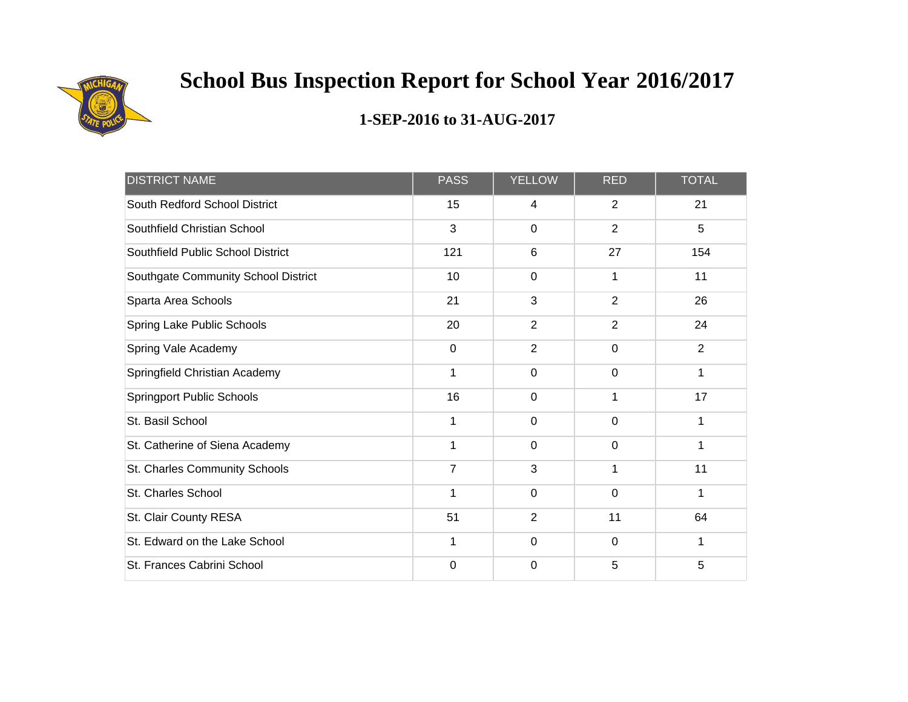

| <b>DISTRICT NAME</b>                | <b>PASS</b>    | <b>YELLOW</b>  | <b>RED</b>     | <b>TOTAL</b>   |
|-------------------------------------|----------------|----------------|----------------|----------------|
| South Redford School District       | 15             | 4              | 2              | 21             |
| Southfield Christian School         | 3              | $\mathbf 0$    | $\overline{2}$ | 5              |
| Southfield Public School District   | 121            | 6              | 27             | 154            |
| Southgate Community School District | 10             | $\mathbf 0$    |                | 11             |
| Sparta Area Schools                 | 21             | 3              | $\overline{2}$ | 26             |
| Spring Lake Public Schools          | 20             | $\overline{2}$ | $\overline{2}$ | 24             |
| Spring Vale Academy                 | $\mathbf 0$    | $\overline{2}$ | $\mathbf 0$    | $\overline{2}$ |
| Springfield Christian Academy       | 1              | $\mathbf 0$    | $\mathbf 0$    | 1              |
| <b>Springport Public Schools</b>    | 16             | $\mathbf 0$    |                | 17             |
| St. Basil School                    | 1              | $\mathbf 0$    | 0              | 1              |
| St. Catherine of Siena Academy      | 1              | $\mathbf 0$    | $\mathbf 0$    | 1              |
| St. Charles Community Schools       | $\overline{7}$ | 3              | 1              | 11             |
| St. Charles School                  | 1              | $\mathbf 0$    | $\mathbf 0$    | 1              |
| St. Clair County RESA               | 51             | $\overline{2}$ | 11             | 64             |
| St. Edward on the Lake School       | 1              | $\mathbf 0$    | 0              | 1              |
| St. Frances Cabrini School          | 0              | 0              | 5              | 5              |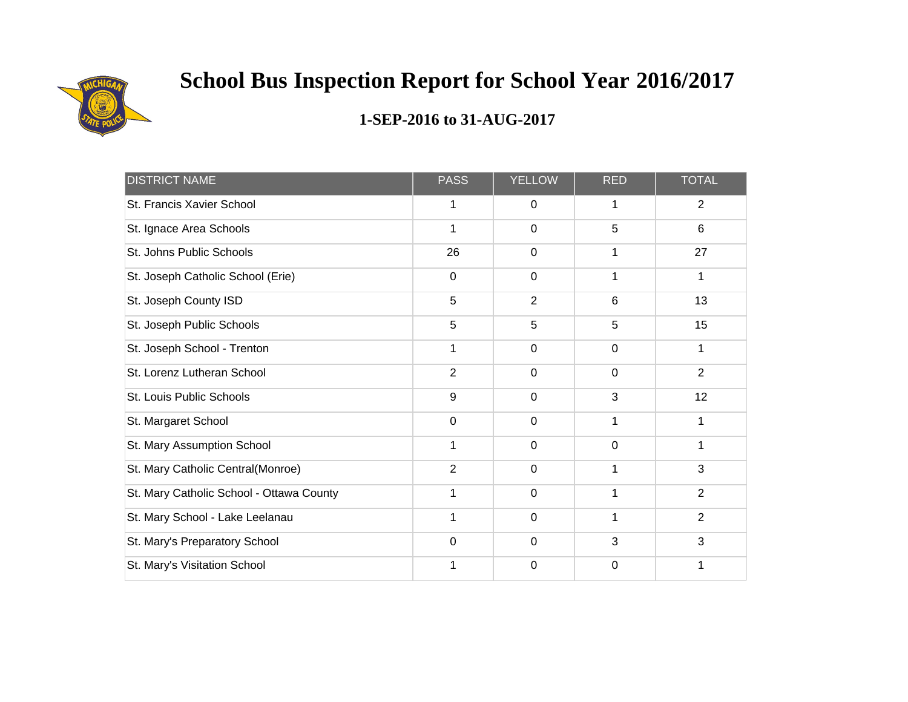

| <b>DISTRICT NAME</b>                     | <b>PASS</b>    | <b>YELLOW</b>  | <b>RED</b>  | <b>TOTAL</b>    |
|------------------------------------------|----------------|----------------|-------------|-----------------|
| St. Francis Xavier School                | 1              | $\mathbf 0$    | 1           | $\overline{2}$  |
| St. Ignace Area Schools                  | 1              | $\mathbf 0$    | 5           | $6\phantom{1}6$ |
| St. Johns Public Schools                 | 26             | $\mathbf 0$    | 1           | 27              |
| St. Joseph Catholic School (Erie)        | $\mathbf 0$    | $\mathbf 0$    |             | 1               |
| St. Joseph County ISD                    | 5              | $\overline{2}$ | 6           | 13              |
| St. Joseph Public Schools                | 5              | 5              | 5           | 15              |
| St. Joseph School - Trenton              | 1              | $\mathbf 0$    | $\mathsf 0$ | 1               |
| St. Lorenz Lutheran School               | $\overline{2}$ | $\mathbf 0$    | 0           | $\overline{2}$  |
| <b>St. Louis Public Schools</b>          | 9              | $\mathbf 0$    | 3           | 12              |
| St. Margaret School                      | $\mathbf 0$    | $\mathbf 0$    | 1           | 1               |
| St. Mary Assumption School               | 1              | $\mathbf 0$    | $\mathbf 0$ | 1               |
| St. Mary Catholic Central(Monroe)        | $\overline{2}$ | $\mathbf 0$    | 1           | $\mathfrak{S}$  |
| St. Mary Catholic School - Ottawa County | 1              | $\mathbf 0$    | 1           | $\overline{2}$  |
| St. Mary School - Lake Leelanau          | 1              | $\mathbf 0$    |             | $\overline{2}$  |
| St. Mary's Preparatory School            | $\mathbf 0$    | $\mathbf 0$    | 3           | 3               |
| St. Mary's Visitation School             | 1              | 0              | 0           | 1               |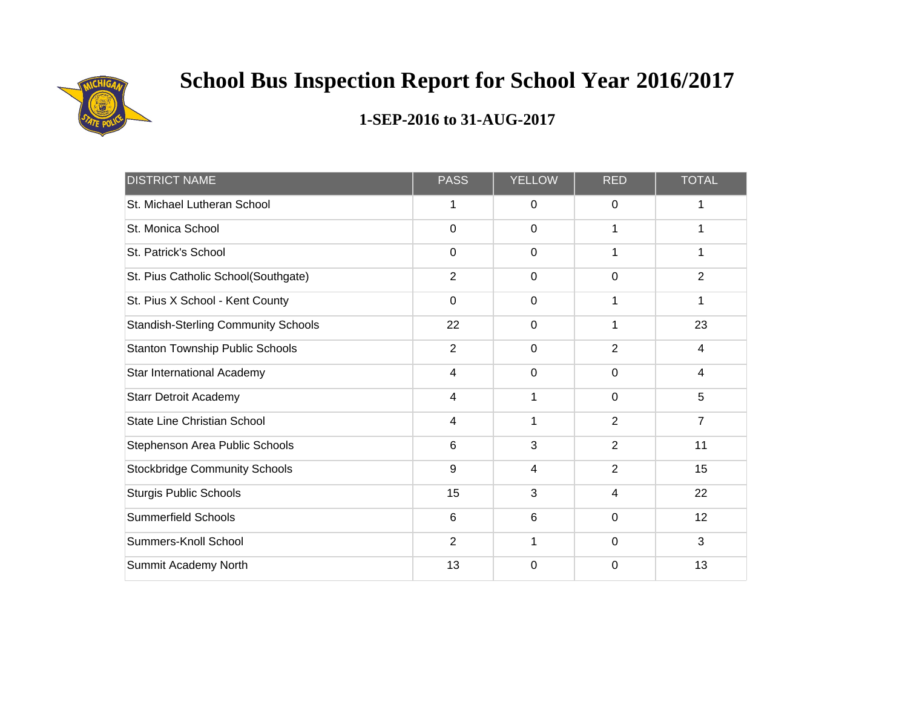

| <b>DISTRICT NAME</b>                       | <b>PASS</b>             | <b>YELLOW</b> | <b>RED</b>     | <b>TOTAL</b>   |
|--------------------------------------------|-------------------------|---------------|----------------|----------------|
| St. Michael Lutheran School                | 1                       | 0             | 0              | 1              |
| St. Monica School                          | $\mathbf 0$             | $\mathbf 0$   | 1              | 1              |
| St. Patrick's School                       | $\mathbf 0$             | $\mathbf 0$   | 1              | 1              |
| St. Pius Catholic School(Southgate)        | $\overline{2}$          | 0             | $\mathbf 0$    | $\overline{2}$ |
| St. Pius X School - Kent County            | $\mathbf 0$             | $\mathbf 0$   | 1              | 1              |
| <b>Standish-Sterling Community Schools</b> | 22                      | $\mathbf 0$   | 1              | 23             |
| <b>Stanton Township Public Schools</b>     | $\overline{2}$          | $\mathbf 0$   | $\overline{2}$ | $\overline{4}$ |
| Star International Academy                 | 4                       | 0             | 0              | 4              |
| <b>Starr Detroit Academy</b>               | $\overline{\mathbf{4}}$ | 1             | $\mathbf 0$    | 5              |
| State Line Christian School                | $\overline{4}$          | 1             | 2              | $\overline{7}$ |
| Stephenson Area Public Schools             | 6                       | 3             | $\overline{2}$ | 11             |
| <b>Stockbridge Community Schools</b>       | 9                       | 4             | $\overline{2}$ | 15             |
| <b>Sturgis Public Schools</b>              | 15                      | 3             | 4              | 22             |
| <b>Summerfield Schools</b>                 | 6                       | 6             | $\mathbf 0$    | 12             |
| Summers-Knoll School                       | $\overline{2}$          | 1             | $\mathbf 0$    | 3              |
| Summit Academy North                       | 13                      | 0             | 0              | 13             |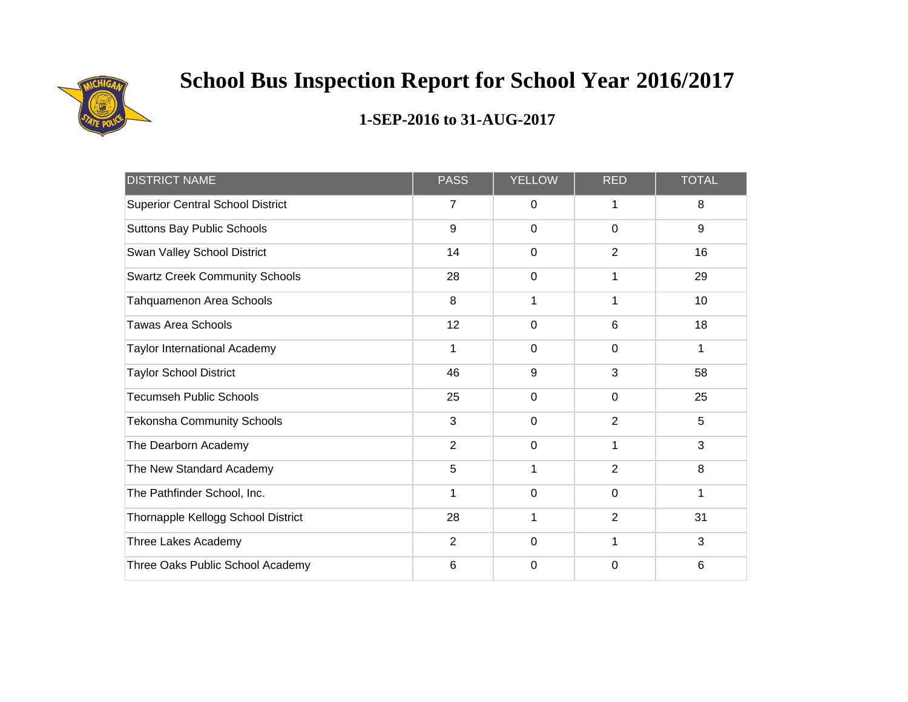

| <b>DISTRICT NAME</b>                    | <b>PASS</b>    | <b>YELLOW</b> | <b>RED</b>     | <b>TOTAL</b> |
|-----------------------------------------|----------------|---------------|----------------|--------------|
| <b>Superior Central School District</b> | $\overline{7}$ | $\mathbf 0$   | 1              | 8            |
| Suttons Bay Public Schools              | 9              | $\mathbf 0$   | $\mathbf 0$    | $9\,$        |
| Swan Valley School District             | 14             | 0             | $\overline{2}$ | 16           |
| <b>Swartz Creek Community Schools</b>   | 28             | $\mathbf 0$   |                | 29           |
| Tahquamenon Area Schools                | 8              | 1             |                | 10           |
| <b>Tawas Area Schools</b>               | 12             | $\mathbf 0$   | $6\phantom{1}$ | 18           |
| <b>Taylor International Academy</b>     | $\mathbf{1}$   | $\mathbf 0$   | $\mathbf 0$    | 1            |
| <b>Taylor School District</b>           | 46             | 9             | 3              | 58           |
| <b>Tecumseh Public Schools</b>          | 25             | $\mathbf 0$   | $\mathbf 0$    | 25           |
| <b>Tekonsha Community Schools</b>       | 3              | $\mathbf 0$   | $\overline{2}$ | 5            |
| The Dearborn Academy                    | $\overline{2}$ | $\mathbf 0$   | 1              | 3            |
| The New Standard Academy                | 5              | 1             | $\overline{2}$ | 8            |
| The Pathfinder School, Inc.             | 1              | 0             | $\mathbf 0$    | 1            |
| Thornapple Kellogg School District      | 28             | 1             | $\overline{2}$ | 31           |
| Three Lakes Academy                     | $\overline{2}$ | 0             | 1              | 3            |
| Three Oaks Public School Academy        | 6              | 0             | $\Omega$       | 6            |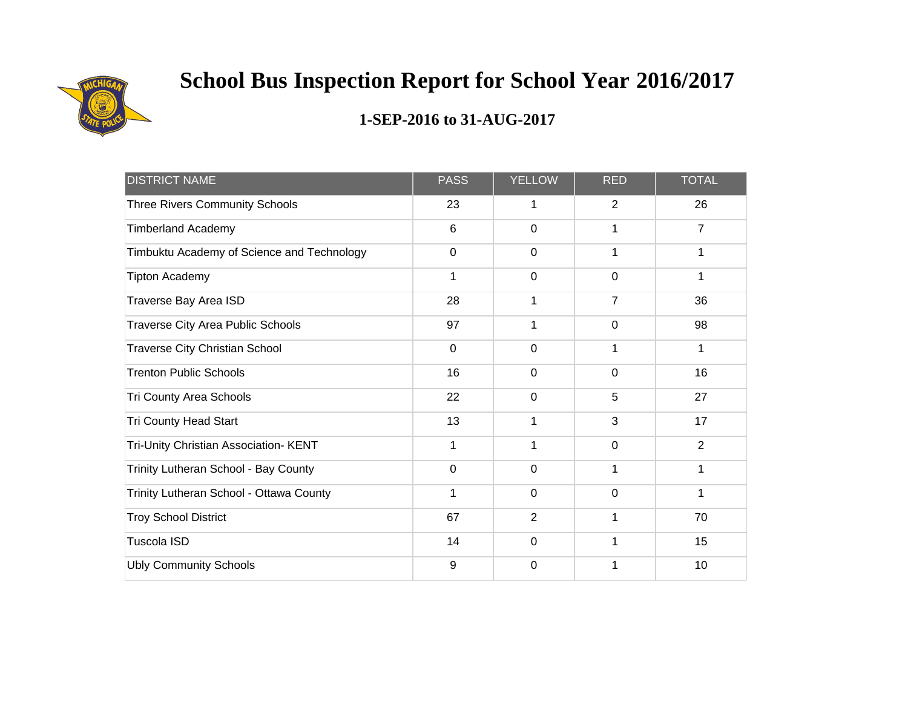

| <b>DISTRICT NAME</b>                       | <b>PASS</b>     | <b>YELLOW</b>  | <b>RED</b>     | <b>TOTAL</b>   |
|--------------------------------------------|-----------------|----------------|----------------|----------------|
| <b>Three Rivers Community Schools</b>      | 23              | 1              | $\overline{2}$ | 26             |
| <b>Timberland Academy</b>                  | $6\phantom{1}6$ | $\mathbf 0$    |                | $\overline{7}$ |
| Timbuktu Academy of Science and Technology | $\mathbf 0$     | $\mathbf 0$    | 1              | 1              |
| <b>Tipton Academy</b>                      | 1               | $\mathbf 0$    | $\overline{0}$ | 1              |
| Traverse Bay Area ISD                      | 28              | 1              | $\overline{7}$ | 36             |
| <b>Traverse City Area Public Schools</b>   | 97              | 1              | $\mathbf 0$    | 98             |
| <b>Traverse City Christian School</b>      | $\mathbf 0$     | $\mathbf 0$    | 1              | 1              |
| <b>Trenton Public Schools</b>              | 16              | $\mathbf 0$    | $\mathbf 0$    | 16             |
| Tri County Area Schools                    | 22              | $\mathbf 0$    | 5              | 27             |
| <b>Tri County Head Start</b>               | 13              | 1              | 3              | 17             |
| Tri-Unity Christian Association- KENT      | $\mathbf{1}$    | 1              | $\mathbf 0$    | $\overline{2}$ |
| Trinity Lutheran School - Bay County       | $\mathbf 0$     | $\mathbf 0$    | 1              | 1              |
| Trinity Lutheran School - Ottawa County    | 1               | $\mathbf 0$    | $\overline{0}$ | 1              |
| <b>Troy School District</b>                | 67              | $\overline{2}$ |                | 70             |
| <b>Tuscola ISD</b>                         | 14              | $\mathbf 0$    | 1              | 15             |
| <b>Ubly Community Schools</b>              | 9               | 0              |                | 10             |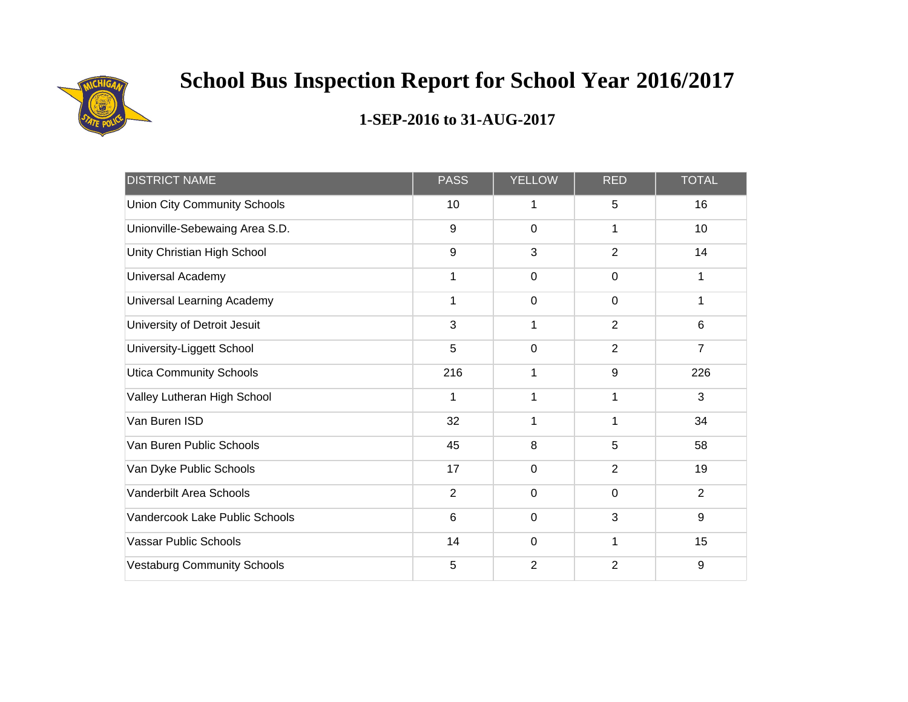

| <b>DISTRICT NAME</b>                | <b>PASS</b>    | <b>YELLOW</b>  | <b>RED</b>     | <b>TOTAL</b>     |
|-------------------------------------|----------------|----------------|----------------|------------------|
| <b>Union City Community Schools</b> | 10             | 1              | 5              | 16               |
| Unionville-Sebewaing Area S.D.      | 9              | $\mathbf 0$    | 1              | 10               |
| Unity Christian High School         | 9              | 3              | $\overline{2}$ | 14               |
| Universal Academy                   | $\mathbf{1}$   | $\mathbf 0$    | $\mathbf 0$    | 1                |
| Universal Learning Academy          | 1              | $\mathbf 0$    | $\mathbf 0$    | 1                |
| University of Detroit Jesuit        | 3              | 1              | $\overline{2}$ | $6\phantom{1}$   |
| University-Liggett School           | 5              | $\mathbf 0$    | $\overline{2}$ | $\overline{7}$   |
| <b>Utica Community Schools</b>      | 216            | 1              | 9              | 226              |
| Valley Lutheran High School         | 1              | 1              |                | 3                |
| Van Buren ISD                       | 32             | 1              | 1              | 34               |
| Van Buren Public Schools            | 45             | 8              | 5              | 58               |
| Van Dyke Public Schools             | 17             | $\mathbf 0$    | $\overline{2}$ | 19               |
| Vanderbilt Area Schools             | $\overline{2}$ | $\mathbf 0$    | $\mathbf 0$    | $\overline{2}$   |
| Vandercook Lake Public Schools      | 6              | $\pmb{0}$      | 3              | $\boldsymbol{9}$ |
| <b>Vassar Public Schools</b>        | 14             | $\mathbf 0$    | 1              | 15               |
| <b>Vestaburg Community Schools</b>  | 5              | $\overline{2}$ | $\overline{2}$ | $\boldsymbol{9}$ |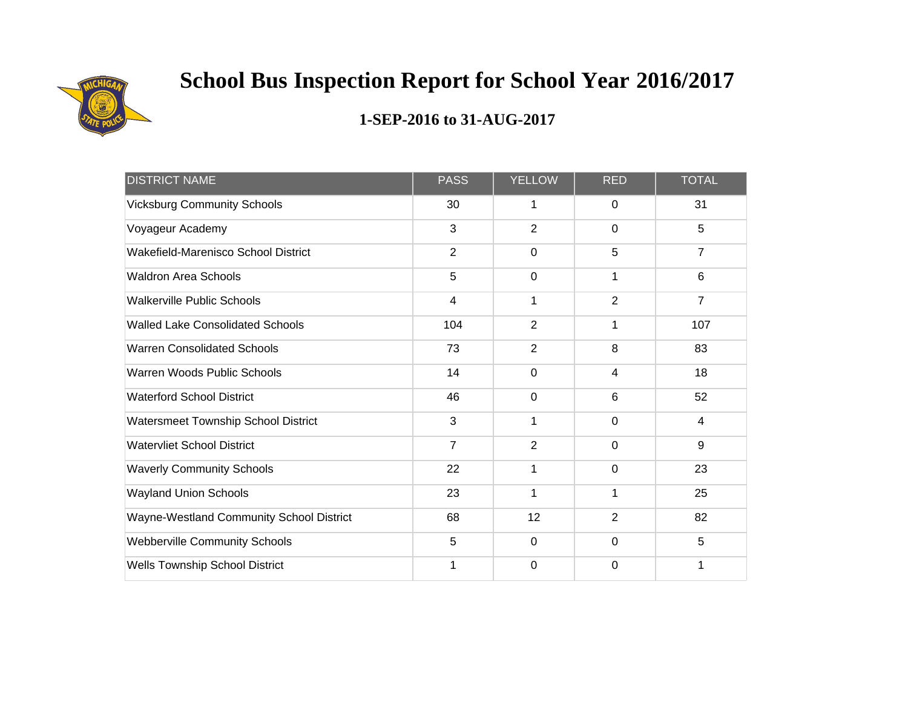

| <b>DISTRICT NAME</b>                     | <b>PASS</b>    | <b>YELLOW</b>  | <b>RED</b>     | <b>TOTAL</b>   |
|------------------------------------------|----------------|----------------|----------------|----------------|
| <b>Vicksburg Community Schools</b>       | 30             | 1              | 0              | 31             |
| Voyageur Academy                         | $\mathbf{3}$   | $\overline{2}$ | $\mathbf 0$    | 5              |
| Wakefield-Marenisco School District      | $\overline{2}$ | $\mathbf 0$    | 5              | $\overline{7}$ |
| <b>Waldron Area Schools</b>              | 5              | 0              |                | $6\phantom{1}$ |
| <b>Walkerville Public Schools</b>        | $\overline{4}$ | 1              | $\overline{2}$ | $\overline{7}$ |
| <b>Walled Lake Consolidated Schools</b>  | 104            | $\overline{2}$ |                | 107            |
| <b>Warren Consolidated Schools</b>       | 73             | $\overline{2}$ | 8              | 83             |
| Warren Woods Public Schools              | 14             | $\mathbf 0$    | 4              | 18             |
| <b>Waterford School District</b>         | 46             | $\mathbf 0$    | 6              | 52             |
| Watersmeet Township School District      | 3              | 1              | 0              | 4              |
| <b>Watervliet School District</b>        | $\overline{7}$ | $\overline{2}$ | $\overline{0}$ | $9\,$          |
| <b>Waverly Community Schools</b>         | 22             | $\mathbf{1}$   | $\mathbf 0$    | 23             |
| <b>Wayland Union Schools</b>             | 23             | 1              | 1              | 25             |
| Wayne-Westland Community School District | 68             | 12             | $\overline{2}$ | 82             |
| <b>Webberville Community Schools</b>     | 5              | $\mathbf 0$    | 0              | 5              |
| Wells Township School District           | 1              | 0              | 0              | 1              |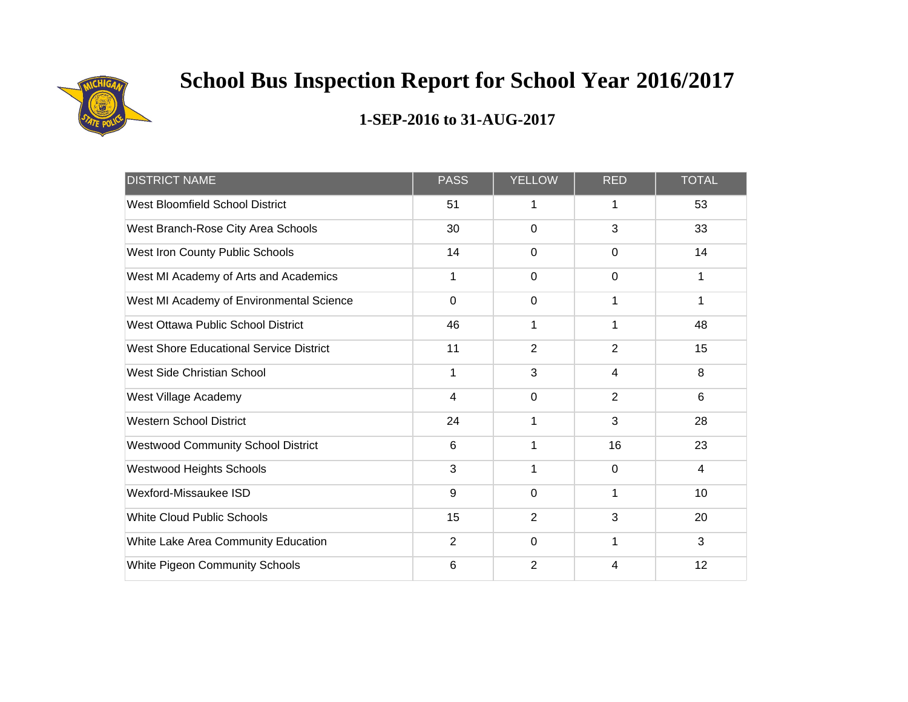

| <b>DISTRICT NAME</b>                      | <b>PASS</b>     | <b>YELLOW</b>  | <b>RED</b>     | <b>TOTAL</b> |
|-------------------------------------------|-----------------|----------------|----------------|--------------|
| West Bloomfield School District           | 51              | 1              | 1              | 53           |
| West Branch-Rose City Area Schools        | 30              | $\mathbf 0$    | 3              | 33           |
| West Iron County Public Schools           | 14              | $\mathbf 0$    | $\Omega$       | 14           |
| West MI Academy of Arts and Academics     | 1               | 0              | $\mathbf 0$    | 1            |
| West MI Academy of Environmental Science  | $\mathbf 0$     | $\mathbf 0$    |                | 1            |
| West Ottawa Public School District        | 46              | 1              | 1              | 48           |
| West Shore Educational Service District   | 11              | $\overline{2}$ | $\overline{2}$ | 15           |
| West Side Christian School                | 1               | 3              | 4              | 8            |
| West Village Academy                      | $\overline{4}$  | $\mathbf 0$    | $\overline{2}$ | 6            |
| <b>Western School District</b>            | 24              | 1              | 3              | 28           |
| <b>Westwood Community School District</b> | $6\phantom{1}6$ | 1              | 16             | 23           |
| Westwood Heights Schools                  | 3               | 1              | $\mathbf 0$    | 4            |
| Wexford-Missaukee ISD                     | 9               | $\overline{0}$ | 1              | 10           |
| <b>White Cloud Public Schools</b>         | 15              | $\overline{2}$ | 3              | 20           |
| White Lake Area Community Education       | 2               | $\mathbf 0$    | 1              | 3            |
| White Pigeon Community Schools            | 6               | $\overline{2}$ | 4              | 12           |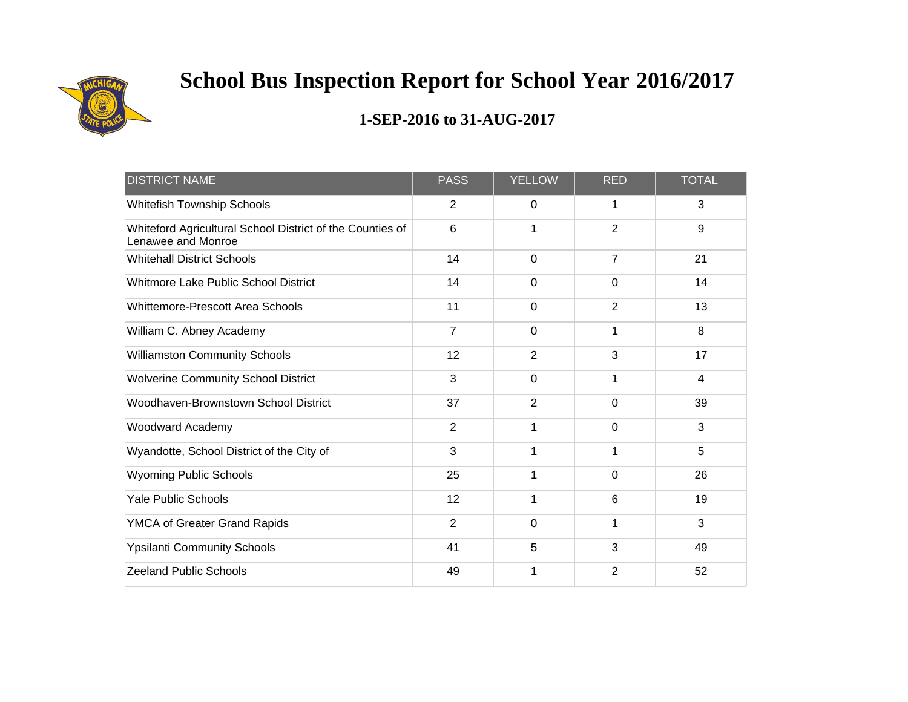

| <b>DISTRICT NAME</b>                                                            | <b>PASS</b>     | <b>YELLOW</b>  | <b>RED</b>     | <b>TOTAL</b>   |
|---------------------------------------------------------------------------------|-----------------|----------------|----------------|----------------|
| Whitefish Township Schools                                                      | 2               | 0              | 1              | 3              |
| Whiteford Agricultural School District of the Counties of<br>Lenawee and Monroe | $6\phantom{1}6$ | 1              | $\overline{2}$ | 9              |
| <b>Whitehall District Schools</b>                                               | 14              | $\mathbf 0$    | $\overline{7}$ | 21             |
| Whitmore Lake Public School District                                            | 14              | $\mathbf 0$    | $\mathbf 0$    | 14             |
| <b>Whittemore-Prescott Area Schools</b>                                         | 11              | $\mathbf 0$    | $\overline{2}$ | 13             |
| William C. Abney Academy                                                        | $\overline{7}$  | $\mathbf 0$    | 1              | 8              |
| <b>Williamston Community Schools</b>                                            | 12              | $\overline{2}$ | 3              | 17             |
| <b>Wolverine Community School District</b>                                      | 3               | $\mathbf 0$    |                | $\overline{4}$ |
| Woodhaven-Brownstown School District                                            | 37              | $\overline{2}$ | 0              | 39             |
| Woodward Academy                                                                | $\overline{2}$  | 1              | $\mathbf 0$    | 3              |
| Wyandotte, School District of the City of                                       | 3               | $\mathbf{1}$   | 1              | 5              |
| <b>Wyoming Public Schools</b>                                                   | 25              | 1              | $\mathbf 0$    | 26             |
| <b>Yale Public Schools</b>                                                      | 12              | 1              | 6              | 19             |
| YMCA of Greater Grand Rapids                                                    | $\overline{2}$  | $\mathbf 0$    | 1              | 3              |
| <b>Ypsilanti Community Schools</b>                                              | 41              | 5              | 3              | 49             |
| <b>Zeeland Public Schools</b>                                                   | 49              | 1              | 2              | 52             |